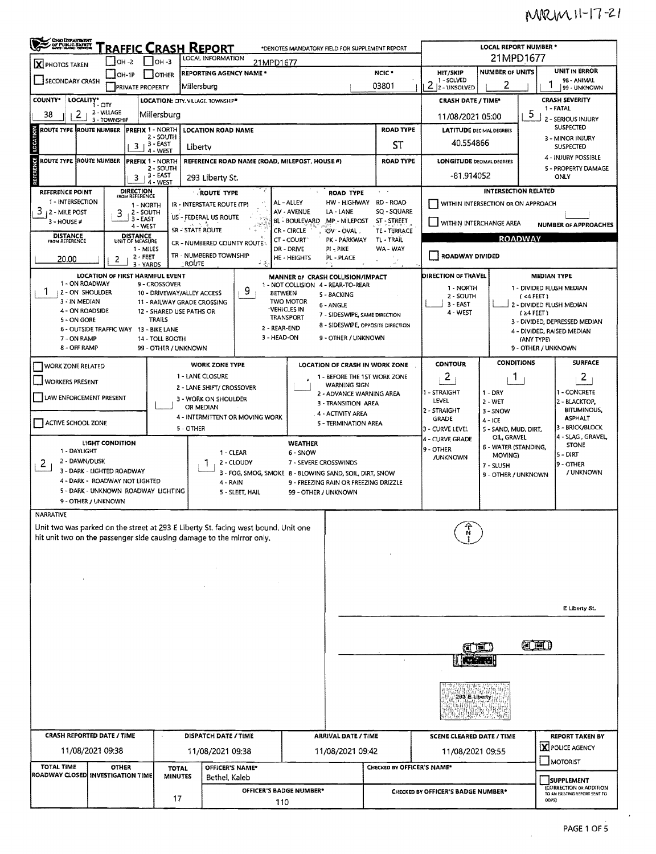## MRM 11-17-21

| <b>CHO DEPARTMENT</b><br><u>'raffic Crash Report</u><br>*DENOTES MANDATORY FIELD FOR SUPPLEMENT REPORT |                                                            |                                                           |                         |                                                                                    |                                                      |                                                     |                                                                                             |                                             | <b>LOCAL REPORT NUMBER *</b>         |                                                |                                                                   |  |  |  |
|--------------------------------------------------------------------------------------------------------|------------------------------------------------------------|-----------------------------------------------------------|-------------------------|------------------------------------------------------------------------------------|------------------------------------------------------|-----------------------------------------------------|---------------------------------------------------------------------------------------------|---------------------------------------------|--------------------------------------|------------------------------------------------|-------------------------------------------------------------------|--|--|--|
| X PHOTOS TAKEN                                                                                         | $IOH - 2$                                                  | $I$ OH -3                                                 |                         | LOCAL INFORMATION<br>21MPD1677                                                     |                                                      | 21MPD1677                                           |                                                                                             |                                             |                                      |                                                |                                                                   |  |  |  |
| SECONDARY CRASH                                                                                        | 10н-1Р                                                     | <b>OTHER</b>                                              |                         | <b>REPORTING AGENCY NAME *</b>                                                     |                                                      |                                                     | NCIC <sup>*</sup>                                                                           | <b>HIT/SKIP</b><br>1 - SOLVED               | <b>NUMBER OF UNITS</b>               |                                                | UNIT IN ERROR<br>98 - ANIMAL                                      |  |  |  |
|                                                                                                        | <b>PRIVATE PROPERTY</b>                                    |                                                           | Millersburg             |                                                                                    |                                                      |                                                     | 03801                                                                                       | 2<br>2 - UNSOLVED                           | 2                                    |                                                | 99 - UNKNOWN                                                      |  |  |  |
| <b>COUNTY</b> *                                                                                        | LOCALITY* CITY                                             | LOCATION: CITY, VILLAGE, TOWNSHIP*                        |                         |                                                                                    |                                                      |                                                     |                                                                                             | <b>CRASH DATE / TIME*</b>                   |                                      |                                                | <b>CRASH SEVERITY</b><br>1 - FATAL                                |  |  |  |
| 2<br>38                                                                                                | 2 - VILLAGE<br>3 - TOWNSHIP                                | Millersburg                                               |                         |                                                                                    |                                                      |                                                     |                                                                                             | 11/08/2021 05:00                            | 2 - SERIOUS INJURY                   |                                                |                                                                   |  |  |  |
| ROUTE TYPE ROUTE NUMBER                                                                                |                                                            | <b>PREFIX 1 - NORTH</b><br>2 - SOUTH                      |                         | <b>LOCATION ROAD NAME</b>                                                          |                                                      |                                                     | <b>ROAD TYPE</b>                                                                            | <b>LATITUDE DECIMAL DEGREES</b>             |                                      |                                                | <b>SUSPECTED</b>                                                  |  |  |  |
| LOCATION                                                                                               | 3                                                          | 3 - EAST<br>$4 - WEST$                                    | Liberty                 |                                                                                    |                                                      |                                                     | ST                                                                                          | 40.554866                                   | 3 - MINOR INJURY<br><b>SUSPECTED</b> |                                                |                                                                   |  |  |  |
| ě<br>ROUTE TYPE ROUTE NUMBER                                                                           |                                                            | <b>PREFIX 1 - NORTH</b>                                   |                         | REFERENCE ROAD NAME (ROAD, MILEPOST, HOUSE #)                                      | <b>ROAD TYPE</b><br><b>LONGITUDE DECIMAL DEGREES</b> |                                                     |                                                                                             |                                             |                                      | 4 - INJURY POSSIBLE                            |                                                                   |  |  |  |
|                                                                                                        | 3                                                          | 2 - SOUTH<br>3 - EAST                                     |                         |                                                                                    |                                                      |                                                     |                                                                                             | $-81,914052$                                | <b>5 - PROPERTY DAMAGE</b><br>ONLY   |                                                |                                                                   |  |  |  |
|                                                                                                        | <b>DIRECTION</b>                                           | 4 - WEST                                                  |                         | 293 Liberty St.                                                                    |                                                      |                                                     | $\alpha = -\epsilon$                                                                        |                                             | <b>INTERSECTION RELATED</b>          |                                                |                                                                   |  |  |  |
| <b>REFERENCE POINT</b><br>1 - INTERSECTION                                                             | <b>FROM REFERENCE</b>                                      | 1 - NORTH                                                 |                         | <b>ROUTE TYPE</b><br>IR - INTERSTATE ROUTE (TP)                                    | AL - ALLEY                                           | <b>ROAD TYPE</b><br>HW - HIGHWAY                    | RD - ROAD                                                                                   | WITHIN INTERSECTION OR ON APPROACH          |                                      |                                                |                                                                   |  |  |  |
| 3<br>12 - MILE POST                                                                                    | 3                                                          | 2 - SOUTH<br>3 - EAST                                     |                         | US - FEDERAL US ROUTE<br>1.3%                                                      | <b>AV - AVENUE</b>                                   | LA - LANE                                           | SQ - SQUARE                                                                                 |                                             |                                      |                                                |                                                                   |  |  |  |
| 3 - HOUSE #                                                                                            |                                                            | 4 - WEST                                                  | <b>SR - STATE ROUTE</b> | 动感感                                                                                | BL - BOULEVARD<br>CR - CIRCLE                        | MP - MILEPOST<br>OV - OVAL                          | ST - STREET<br>TE - TERRACE                                                                 | WITHIN INTERCHANGE AREA                     |                                      |                                                | <b>NUMBER OF APPROACHES</b>                                       |  |  |  |
| <b>DISTANCE</b><br>FROM REFERENCE                                                                      | <b>DISTANCE</b><br>UNIT OF MEASURE                         |                                                           |                         | CR - NUMBERED COUNTY ROUTE                                                         | CT - COURT                                           | PK - PARKWAY                                        | TL - TRAIL                                                                                  |                                             |                                      | <b>ROADWAY</b>                                 |                                                                   |  |  |  |
| 20.00                                                                                                  | 2                                                          | 1 - MILES<br>2 - FEET                                     |                         | TR - NUMBERED TOWNSHIP                                                             | DR - DRIVE<br><b>HE - HEIGHTS</b>                    | PI - PIKE<br>PL - PLACE                             | WA - WAY                                                                                    | <b>ROADWAY DIVIDED</b>                      |                                      |                                                |                                                                   |  |  |  |
|                                                                                                        | LOCATION OF FIRST HARMFUL EVENT                            | 3 - YARDS                                                 | <b>ROUTE</b>            |                                                                                    | MANNER OF CRASH COLLISION/IMPACT                     |                                                     |                                                                                             | DIRECTION OF TRAVEL                         |                                      |                                                |                                                                   |  |  |  |
| 1 - ON ROADWAY                                                                                         |                                                            | 9 - CROSSOVER                                             |                         |                                                                                    | 1 - NOT COLLISION 4 - REAR-TO-REAR                   |                                                     |                                                                                             | 1 - NORTH                                   |                                      | <b>MEDIAN TYPE</b><br>1 - DIVIDED FLUSH MEDIAN |                                                                   |  |  |  |
| 1<br>2 - ON SHOULDER<br>3 - IN MEDIAN                                                                  |                                                            | 10 - DRIVEWAY/ALLEY ACCESS<br>11 - RAILWAY GRADE CROSSING |                         | 9<br><b>BETWEEN</b>                                                                | <b>TWO MOTOR</b>                                     | 5 - BACKING                                         |                                                                                             | 2 - SOUTH<br>3 - EAST                       |                                      | $(44$ FEET)<br>2 - DIVIDED FLUSH MEDIAN        |                                                                   |  |  |  |
| 4 - ON ROADSIDE                                                                                        |                                                            | 12 - SHARED USE PATHS OR                                  |                         |                                                                                    | <b>VEHICLES IN</b><br><b>TRANSPORT</b>               | 6 - ANGLE<br>7 - SIDESWIPE, SAME DIRECTION          |                                                                                             | 4 - WEST                                    |                                      | $(24$ FEET)                                    |                                                                   |  |  |  |
| 5 - ON GORE                                                                                            | 6 - OUTSIDE TRAFFIC WAY 13 - BIKE LANE                     | TRAILS                                                    |                         | 2 - REAR-END                                                                       |                                                      | 8 - SIDESWIPE, OPPOSITE DIRECTION                   |                                                                                             |                                             |                                      |                                                | 3 - DIVIDED, DEPRESSED MEDIAN                                     |  |  |  |
| 7 - ON RAMP                                                                                            |                                                            | 14 - TOLL BOOTH                                           |                         | 3 - HEAD-ON                                                                        |                                                      | 9 - OTHER / UNKNOWN                                 |                                                                                             |                                             |                                      | 4 - DIVIDED, RAISED MEDIAN<br>(ANY TYPE)       |                                                                   |  |  |  |
| 8 - OFF RAMP                                                                                           |                                                            | 99 - OTHER / UNKNOWN                                      |                         |                                                                                    |                                                      |                                                     |                                                                                             |                                             |                                      | 9 - OTHER / UNKNOWN                            |                                                                   |  |  |  |
| <b>WORK ZONE RELATED</b>                                                                               |                                                            |                                                           |                         | <b>WORK ZONE TYPE</b>                                                              |                                                      | LOCATION OF CRASH IN WORK ZONE                      |                                                                                             | <b>CONTOUR</b>                              | <b>CONDITIONS</b>                    |                                                | <b>SURFACE</b>                                                    |  |  |  |
| <b>WORKERS PRESENT</b>                                                                                 |                                                            |                                                           | 1 - LANE CLOSURE        | 2 - LANE SHIFT/ CROSSOVER                                                          |                                                      | 1 - BEFORE THE 1ST WORK ZONE<br><b>WARNING SIGN</b> |                                                                                             | 2                                           | 1                                    |                                                | $\overline{2}$                                                    |  |  |  |
| LAW ENFORCEMENT PRESENT                                                                                |                                                            |                                                           |                         | 3 - WORK ON SHOULDER                                                               |                                                      | 2 - ADVANCE WARNING AREA                            |                                                                                             | 1 - STRAIGHT<br>1 - DRY<br>LEVEL<br>2 - WET |                                      |                                                | 1 - CONCRETE<br>2 - BLACKTOP,                                     |  |  |  |
|                                                                                                        |                                                            |                                                           | OR MEDIAN               |                                                                                    |                                                      | 3 - TRANSITION AREA<br>4 - ACTIVITY AREA            |                                                                                             | 2 - STRAIGHT                                | 3 - SNOW                             |                                                | <b>BITUMINOUS,</b>                                                |  |  |  |
| ACTIVE SCHOOL ZONE                                                                                     |                                                            |                                                           | <b>5 - OTHER</b>        | 4 - INTERMITTENT OR MOVING WORK                                                    |                                                      | 5 - TERMINATION AREA                                |                                                                                             | GRADE<br>3 - CURVE LEVEL                    | $4 - ICE$<br>5 - SAND, MUD, DIRT,    |                                                | <b>ASPHALT</b><br>3 - BRICK/BLOCK                                 |  |  |  |
|                                                                                                        | LIGHT CONDITION                                            |                                                           |                         |                                                                                    | <b>WEATHER</b>                                       |                                                     |                                                                                             | 4 - CURVE GRADE                             | OIL, GRAVEL<br>6 - WATER (STANDING,  |                                                | 4 - SLAG, GRAVEL,<br><b>STONE</b>                                 |  |  |  |
| 1 - DAYLIGHT                                                                                           |                                                            |                                                           |                         | 1 - CLEAR                                                                          | 6 - SNOW                                             |                                                     |                                                                                             | 9 - OTHER<br><b>/UNKNOWN</b>                | S-DIRT                               |                                                |                                                                   |  |  |  |
| 2 - DAWN/DUSK<br>2                                                                                     | 3 - DARK - LIGHTED ROADWAY                                 |                                                           |                         | 2 - CLOUDY<br>1                                                                    | 7 - SEVERE CROSSWINDS                                |                                                     | 7 - SLUSH<br>3 - FOG, SMOG, SMOKE 8 - 8LOWING SAND, SOIL, DIRT, SNOW<br>9 - OTHER / UNKNOWN |                                             |                                      |                                                | <b>9 - OTHER</b><br>/ UNKNOWN                                     |  |  |  |
|                                                                                                        | 4 - DARK - ROADWAY NOT LIGHTED                             |                                                           |                         | 4 - RAIN                                                                           | 9 - FREEZING RAIN OR FREEZING DRIZZLE                |                                                     |                                                                                             |                                             |                                      |                                                |                                                                   |  |  |  |
|                                                                                                        | 5 - DARK - UNKNOWN ROADWAY LIGHTING<br>9 - OTHER / UNKNOWN |                                                           |                         | 5 - SLEET, HAIL                                                                    | 99 - OTHER / UNKNOWN                                 |                                                     |                                                                                             |                                             |                                      |                                                |                                                                   |  |  |  |
| <b>NARRATIVE</b>                                                                                       |                                                            |                                                           |                         |                                                                                    |                                                      |                                                     |                                                                                             |                                             |                                      |                                                |                                                                   |  |  |  |
|                                                                                                        |                                                            |                                                           |                         | Unit two was parked on the street at 293 E Liberty St. facing west bound. Unit one |                                                      |                                                     |                                                                                             |                                             |                                      |                                                |                                                                   |  |  |  |
|                                                                                                        |                                                            |                                                           |                         | hit unit two on the passenger side causing damage to the mirror only.              |                                                      |                                                     |                                                                                             |                                             |                                      |                                                |                                                                   |  |  |  |
|                                                                                                        |                                                            |                                                           |                         |                                                                                    |                                                      |                                                     |                                                                                             |                                             |                                      |                                                |                                                                   |  |  |  |
|                                                                                                        |                                                            |                                                           |                         |                                                                                    |                                                      |                                                     |                                                                                             |                                             |                                      |                                                |                                                                   |  |  |  |
|                                                                                                        |                                                            |                                                           |                         |                                                                                    |                                                      |                                                     |                                                                                             |                                             |                                      |                                                |                                                                   |  |  |  |
|                                                                                                        |                                                            |                                                           |                         |                                                                                    |                                                      |                                                     |                                                                                             |                                             |                                      |                                                |                                                                   |  |  |  |
|                                                                                                        |                                                            |                                                           |                         |                                                                                    |                                                      |                                                     |                                                                                             |                                             |                                      |                                                | E Liberty St.                                                     |  |  |  |
|                                                                                                        |                                                            |                                                           |                         |                                                                                    |                                                      |                                                     |                                                                                             |                                             |                                      |                                                |                                                                   |  |  |  |
|                                                                                                        |                                                            |                                                           |                         |                                                                                    |                                                      |                                                     |                                                                                             |                                             |                                      |                                                |                                                                   |  |  |  |
|                                                                                                        |                                                            |                                                           |                         |                                                                                    |                                                      |                                                     |                                                                                             |                                             |                                      | <b>COMO</b>                                    |                                                                   |  |  |  |
|                                                                                                        |                                                            |                                                           |                         |                                                                                    |                                                      |                                                     |                                                                                             | <b>Command</b>                              |                                      |                                                |                                                                   |  |  |  |
|                                                                                                        |                                                            |                                                           |                         |                                                                                    |                                                      |                                                     |                                                                                             |                                             |                                      |                                                |                                                                   |  |  |  |
|                                                                                                        |                                                            |                                                           |                         |                                                                                    |                                                      |                                                     |                                                                                             | 293 E. Liberty                              |                                      |                                                |                                                                   |  |  |  |
|                                                                                                        |                                                            |                                                           |                         |                                                                                    |                                                      |                                                     |                                                                                             | NAME.<br>WHAPPEY                            |                                      |                                                |                                                                   |  |  |  |
|                                                                                                        |                                                            |                                                           |                         |                                                                                    |                                                      |                                                     |                                                                                             |                                             |                                      |                                                |                                                                   |  |  |  |
|                                                                                                        | <b>CRASH REPORTED DATE / TIME</b>                          |                                                           |                         | DISPATCH DATE / TIME                                                               |                                                      | <b>ARRIVAL DATE / TIME</b>                          |                                                                                             | <b>SCENE CLEARED DATE / TIME</b>            |                                      |                                                | <b>REPORT TAKEN BY</b>                                            |  |  |  |
|                                                                                                        | 11/08/2021 09:38                                           |                                                           |                         | 11/08/2021 09:38                                                                   |                                                      | 11/08/2021 09:42                                    |                                                                                             | 11/08/2021 09:55                            |                                      |                                                | X POLICE AGENCY                                                   |  |  |  |
| <b>TOTAL TIME</b>                                                                                      | <b>OTHER</b>                                               | <b>TOTAL</b>                                              |                         | OFFICER'S NAME*                                                                    |                                                      |                                                     | CHECKED BY OFFICER'S NAME*                                                                  |                                             |                                      |                                                | MOTORIST                                                          |  |  |  |
| ROADWAY CLOSED INVESTIGATION TIME                                                                      |                                                            | <b>MINUTES</b>                                            |                         | Bethel, Kaleb                                                                      |                                                      |                                                     |                                                                                             |                                             |                                      |                                                | <b>SUPPLEMENT</b>                                                 |  |  |  |
|                                                                                                        |                                                            | 17                                                        |                         | OFFICER'S BADGE NUMBER*<br>110                                                     |                                                      |                                                     | <b>CHECKED BY OFFICER'S BADGE NUMBER*</b>                                                   |                                             |                                      |                                                | (CORRECTION OR ADDITION<br>TO AN EXISTING REPORT SENT TO<br>OBP5) |  |  |  |

 $\ddot{\phantom{a}}$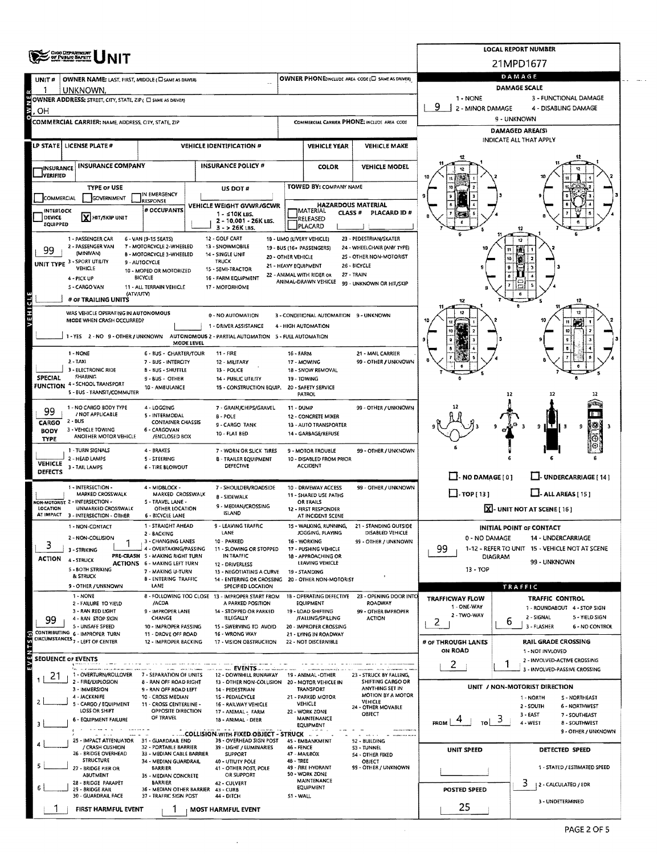|                            | <b>CHOOD TOP ARTIMENT</b><br>OF PUBLIC BAPETT                                 |                                                               |                                                                                          |                            |                                                         |                                                      |                                               | LOCAL REPORT NUMBER                                                |
|----------------------------|-------------------------------------------------------------------------------|---------------------------------------------------------------|------------------------------------------------------------------------------------------|----------------------------|---------------------------------------------------------|------------------------------------------------------|-----------------------------------------------|--------------------------------------------------------------------|
|                            |                                                                               |                                                               |                                                                                          |                            |                                                         |                                                      |                                               | 21MPD1677                                                          |
| UNIT#                      | OWNER NAME: LAST, FIRST, MIDDLE (C) SAME AS DRIVER)                           |                                                               |                                                                                          |                            |                                                         | OWNER PHONE:INCLUDE AREA CODE (C) SAME AS DRIVER)    |                                               | DAMAGE                                                             |
| -1                         | UNKNOWN,<br>OWNER ADDRESS: STREET, CITY, STATE, ZIP ( C) SAME AS DRIVERY      |                                                               |                                                                                          |                            |                                                         |                                                      | 1 - NONE                                      | <b>DAMAGE SCALE</b><br>3 - FUNCTIONAL DAMAGE                       |
| . OH                       |                                                                               |                                                               |                                                                                          |                            |                                                         |                                                      | 9<br>2 - MINOR DAMAGE                         | 4 - DISABLING DAMAGE                                               |
|                            | COMMERCIAL CARRIER: NAME, ADDRESS, CITY, STATE, ZIP                           |                                                               |                                                                                          |                            |                                                         | COMMERCIAL CARRIER PHONE: INCLUDE AREA CODE          |                                               | 9 - UNKNOWN                                                        |
|                            |                                                                               |                                                               |                                                                                          |                            |                                                         |                                                      |                                               | <b>DAMAGED AREA(S)</b><br>INDICATE ALL THAT APPLY                  |
|                            | LP STATE   LICENSE PLATE #                                                    |                                                               | <b>VEHICLE IDENTIFICATION #</b>                                                          |                            | <b>VEHICLE YEAR</b>                                     | <b>VEHICLE MAKE</b>                                  |                                               |                                                                    |
| <b>TINSURANCE</b>          | <b>INSURANCE COMPANY</b>                                                      |                                                               | <b>INSURANCE POLICY #</b>                                                                |                            | <b>COLOR</b>                                            | <b>VEHICLE MODEL</b>                                 |                                               |                                                                    |
| <u>J</u> verified          |                                                                               |                                                               |                                                                                          |                            |                                                         |                                                      |                                               |                                                                    |
|                            | <b>TYPE OF USE</b>                                                            | IN EMERGENCY                                                  | US DOT #                                                                                 |                            | TOWED BY: COMPANY NAME                                  |                                                      |                                               |                                                                    |
| COMMERCIAL                 | GOVERNMENT                                                                    | RESPONSE                                                      | VEHICLE WEIGHT GVWR/GCWR                                                                 |                            | <b>HAZARDOUS MATERIAL</b>                               |                                                      |                                               |                                                                    |
| INTERLOCK<br><b>DEVICE</b> | <b>X</b> HIT/SKIP UNIT                                                        | # OCCUPANTS                                                   | 1 - ≤10K LBS.<br>2 - 10.001 - 26K LBS.                                                   |                            | <b>JMATERIAL</b><br>CLASS <sup>#</sup><br>RELEASED      | PLACARD ID #                                         |                                               |                                                                    |
| <b>EQUIPPED</b>            |                                                                               |                                                               | 3 - > 26K LBS.                                                                           |                            | PLACARD                                                 |                                                      |                                               |                                                                    |
| 99                         | 1 - PASSENGER CAR<br>2 - PASSENGER VAN                                        | 6 - VAN (9-15 SEATS)<br>7 - MOTORCYCLE 2-WHEELED              | 12 - GOLF CART<br>13 - SNOWMOBILE                                                        |                            | 18 - LIMO (LIVERY VEHICLE)<br>19 - BUS (16+ PASSENGERS) | 23 - PEDESTRIAN/SKATER<br>24 - WHEELCHAIR (ANY TYPE) |                                               |                                                                    |
|                            | (MINIVAN)<br>UNIT TYPE <sup>3</sup> - SPORT UTILITY                           | <b>B - MOTORCYCLE 3-WHEELED</b><br>9 - AUTOCYCLE              | 14 - SINGLE UNIT<br><b>TRUCK</b>                                                         | 20 - OTHER VEHICLE         |                                                         | 25 - OTHER NON-MOTORIST                              |                                               |                                                                    |
|                            | VEHICLE                                                                       | 10 - MOPED OR MOTORIZED<br>BICYCLE                            | 15 - SEMI-TRACTOR                                                                        | 21 - HEAVY EQUIPMENT       | 22 - ANIMAL WITH RIDER OR                               | 26 - BICYCLE<br>27 - TRAIN                           |                                               |                                                                    |
|                            | 4 - PICK UP<br>S - CARGO VAN                                                  | 11 - ALL TERRAIN VEHICLE                                      | 16 - FARM EQUIPMENT<br>17 - MOTORHOME                                                    |                            | ANIMAL-DRAWN VEHICLE                                    | 99 - UNKNOWN OR HIT/SKIP                             |                                               |                                                                    |
|                            | (ATV/UTV)<br># OF TRAILING UNITS                                              |                                                               |                                                                                          |                            |                                                         |                                                      |                                               |                                                                    |
| H                          | WAS VEHICLE OPERATING IN AUTONOMOUS                                           |                                                               | 0 - NO AUTOMATION                                                                        |                            | 3 - CONDITIONAL AUTOMATION 9 - UNKNOWN                  |                                                      |                                               | 12                                                                 |
|                            | MODE WHEN CRASH OCCURRED?                                                     |                                                               | 1 - DRIVER ASSISTANCE                                                                    |                            | 4 - HIGH AUTOMATION                                     |                                                      |                                               |                                                                    |
|                            |                                                                               | MODE LEVEL                                                    | 1 - YES 2 - NO 9 - OTHER / UNKNOWN AUTONOMOUS 2 - PARTIAL AUTOMATION 5 - FULL AUTOMATION |                            |                                                         |                                                      |                                               |                                                                    |
|                            | 1 - NONE                                                                      | 6 - BUS - CHARTER/TOUR                                        | $11 - FIRE$                                                                              | <b>16 - FARM</b>           |                                                         | 21 - MAIL CARRIER                                    |                                               |                                                                    |
|                            | $2 - TAXI$<br>3 - ELECTRONIC RIDE                                             | 7 - BUS - INTERCITY<br>B - BUS - SHUTTLE                      | 12 - MILITARY<br>13 - POLICE                                                             | 17 - MOWING                | 18 - SNOW REMOVAL                                       | 99 - OTHER / UNKNOWN                                 |                                               |                                                                    |
| <b>SPECIAL</b>             | SHARING                                                                       | 9 - BUS - OTHER                                               | 14 - PUBLIC UTILITY                                                                      | 19 - TOWING                |                                                         |                                                      |                                               |                                                                    |
|                            | FUNCTION 4 - SCHOOL TRANSPORT<br>5 - BUS - TRANSIT/COMMUTER                   | 10 - AMBULANCE                                                | 15 - CONSTRUCTION EQUIP. 20 - SAFETY SERVICE                                             |                            | PATROL                                                  |                                                      |                                               | 12<br>12                                                           |
|                            | 1 - NO CARGO BODY TYPE                                                        | 4 - LOGGING                                                   | 7 - GRAIN/CHIPS/GRAVEL                                                                   | 11 - DUMP                  |                                                         | 99 - OTHER / UNKNOWN                                 |                                               |                                                                    |
| 99<br>CARGO                | / NOT APPLICABLE<br>2 - BUS                                                   | 5 - INTERMODAL<br><b>CONTAINER CHASSIS</b>                    | 8 - POLE                                                                                 |                            | 12 - CONCRETE MIXER                                     |                                                      |                                               | m                                                                  |
| <b>BODY</b>                | 3 - VEHICLE TOWING<br>ANOTHER MOTOR VEHICLE                                   | 6 - CARGOVAN<br>/ENCLOSED BOX                                 | 9 - CARGO TANK<br>10 - FLAT BED                                                          |                            | 13 - AUTO TRANSPORTER<br>14 - GARBAGE/REFUSE            |                                                      |                                               | $\overline{\mathbf{3}}$<br>9.<br>9                                 |
| <b>TYPE</b>                | 1 - TURN SIGNALS                                                              | 4 - BRAKES                                                    | 7 - WORN OR SLICK TIRES                                                                  |                            | 9 - MOTOR TROUBLE                                       | 99 - OTHER / UNKNOWN                                 |                                               |                                                                    |
| <b>VEHICLE</b>             | 2 - HEAD LAMPS                                                                | 5 - STEERING                                                  | <b>B - TRAILER EQUIPMENT</b>                                                             |                            | 10 - DISABLED FROM PRIOR                                |                                                      |                                               |                                                                    |
| DEFECTS                    | 3 - TAIL LAMPS                                                                | 6 - TIRE BLOWOUT                                              | DEFECTIVE                                                                                |                            | <b>ACCIDENT</b>                                         |                                                      | $\Box$ - NO DAMAGE [0]                        | U-UNDERCARRIAGE [14]                                               |
|                            | 1 - INTERSECTION -                                                            | 4 - MIDBLOCK -                                                | 7 - SHOULDER/ROADSIDE                                                                    |                            | 10 - DRIVEWAY ACCESS                                    | 99 - OTHER / UNKNOWN                                 |                                               |                                                                    |
|                            | MARKED CROSSWALK<br>NON-MOTORIST 2 - INTERSECTION -                           | MARKED CROSSWALK<br>S - TRAVEL LANE -                         | 8 - SIDEWALK                                                                             |                            | 11 - SHARED USE PATHS<br><b>OR TRAILS</b>               |                                                      | $\Box$ -TOP[13]                               | $\Box$ - ALL AREAS [ 15 ]                                          |
| LOCATION<br>AT IMPACT      | UNMARKED CROSSWALK<br>3 - INTERSECTION - OTHER                                | OTHER LOCATION<br><b>6 - BICYCLE LANE</b>                     | 9 - MEDIAN/CROSSING<br><b>ISLAND</b>                                                     |                            | 12 - FIRST RESPONDER<br>AT INCIDENT SCENE               |                                                      |                                               | $X$ - UNIT NOT AT SCENE [ 16 ]                                     |
|                            | 1 - NON-CONTACT                                                               | 1 - STRAIGHT AHEAD                                            | 9 - LEAVING TRAFFIC                                                                      |                            | 15 - WALKING, RUNNING,                                  | 21 - STANDING OUTSIDE                                |                                               | <b>INITIAL POINT OF CONTACT</b>                                    |
| 3                          | 2 - NON-COLLISION                                                             | 2 - BACKING<br>3 - CHANGING LANES                             | LANE<br>10 - PARKED                                                                      | 16 - WORKING               | JOGGING, PLAYING                                        | DISABLED VEHICLE<br>99 - OTHER / UNKNOWN             | 0 - NO DAMAGE                                 | 14 - UNDERCARRIAGE                                                 |
| <b>ACTION</b>              | 3 - STRIKING                                                                  | 4 - OVERTAKING/PASSING<br>PRE-CRASH S - MAKING RIGHT TURN     | 11 - SLOWING OR STOPPED<br>IN TRAFFIC                                                    |                            | 17 - PUSHING VEHICLE<br>18 - APPROACHING OR             |                                                      | 99.<br><b>DIAGRAM</b>                         | 1-12 - REFER TO UNIT 15 - VEHICLE NOT AT SCENE                     |
|                            | 4 - STRUCK<br><b>S - BOTH STRIKING</b>                                        | <b>ACTIONS 6 - MAKING LEFT TURN</b><br>7 - MAKING U-TURN      | 12 - DRIVERLESS<br>13 - NEGOTIATING A CURVE                                              | 19 - STANDING              | LEAVING VEHICLE                                         |                                                      | 13 - TOP                                      | 99 - UNKNOWN                                                       |
|                            | & STRUCK                                                                      | <b>B - ENTERING TRAFFIC</b><br>LANE                           | 14 - ENTERING OR CROSSING                                                                |                            | 20 - OTHER NON-MOTORIST                                 |                                                      |                                               |                                                                    |
|                            | 9 - OTHER / UNKNOWN<br>1 - NONE                                               |                                                               | SPECIFIED LOCATION<br>8 - FOLLOWING TOO CLOSE 13 - IMPROPER START FROM                   |                            | 18 - OPERATING DEFECTIVE                                | 23 - OPENING DOOR INTO                               | <b>TRAFFICWAY FLOW</b>                        | TRAFFIC<br><b>TRAFFIC CONTROL</b>                                  |
|                            | 2 - FAILURE TO VIELD<br>3 - RAN RED LIGHT                                     | /ACDA<br>9 - IMPROPER LANE                                    | A PARKED POSITION<br>14 - STOPPED OR PARKED                                              |                            | EQUIPMENT<br>19 - LOAD SHIFTING                         | ROADWAY<br>99 - OTHER IMPROPER                       | 1 - ONE-WAY                                   | 1 - ROUNDABOUT 4 - STOP SIGN                                       |
| 99                         | 4 - RAN STOP SIGN<br>5 - UNSAFE SPEED                                         | CHANGE<br>10 - IMPROPER PASSING                               | <b>ILLEGALLY</b>                                                                         |                            | /FALLING/SPILLING<br>20 - IMPROPER CROSSING             | <b>ACTION</b>                                        | 2 - TWO-WAY<br>z                              | 2 - SIGNAL<br>5 - YIELD SIGN<br>6<br>3 - FLASHER<br>6 - NO CONTROL |
|                            | CONTRIBUTING 6 - IMPROPER TURN<br>CIRCUMSTANCES <sub>7</sub> - LEFT OF CENTER | 11 - DROVE OFF ROAD                                           | 15 - SWERVING TO AVOID<br>16 - WRONG WAY                                                 |                            | 21 - LYING IN ROADWAY                                   |                                                      |                                               |                                                                    |
|                            |                                                                               | 12 - IMPROPER BACKING                                         | 17 - VISION OBSTRUCTION                                                                  |                            | 22 - NOT DISCERNIBLE                                    |                                                      | # OF THROUGH LANES<br>ON ROAD                 | <b>RAIL GRADE CROSSING</b><br>1 - NOT INVLOVED                     |
|                            | SEQUENCE OF EVENTS                                                            |                                                               |                                                                                          |                            |                                                         |                                                      | $\overline{c}$                                | 2 - INVOLVED-ACTIVE CROSSING                                       |
| 21                         | 1 - OVERTURN/ROLLOVER 7 - SEPARATION OF UNITS                                 |                                                               | <b>EVENTS</b><br>12 - DOWNHILL RUNAWAY                                                   |                            | 19 - ANIMAL - OTHER                                     | 23 - STRUCK BY FALLING,                              |                                               | 3 - INVOLVED-PASSIVE CROSSING                                      |
|                            | 2 - FIRE/EXPLOSION<br>3 - IMMERSION                                           | 8 - RAN OFF ROAD RIGHT<br>9 - RAN OFF ROAD LEFT               | 13 - OTHER NON-COLLISION 20 - MOTOR VEHICLE IN<br>14 - PEDESTRIAN                        |                            | <b>TRANSPORT</b>                                        | SHIFTING CARGO OR<br>ANYTHING SET IN                 |                                               | UNIT / NON-MOTORIST DIRECTION                                      |
|                            | 4 - JACKKNIFE<br>5 - CARGO / EQUIPMENT                                        | 10 - CROSS MEDIAN<br>11 - CROSS CENTERLINE -                  | 15 - PEDALCYCLE<br>16 - RAILWAY VEHICLE                                                  |                            | 21 - PARKED MOTOR<br>VEHICLE                            | MOTION BY A MOTOR<br>VEHICLE<br>24 - OTHER MOVABLE   |                                               | 1 - NORTH<br>S - NORTHEAST<br>2 - SOUTH<br>6 - NORTHWEST           |
|                            | LOSS OR SHIFT<br><b>6 - EQUIPMENT FAILURE</b>                                 | OPPOSITE DIRECTION<br>OF TRAVEL                               | 17 - ANIMAL - FARM<br>18 - ANIMAL - DEER                                                 |                            | 22 - WORK ZONE<br>MAINTENANCE                           | OBJECT                                               |                                               | $3 - EAST$<br>7 - SOUTHEAST                                        |
| з                          | with the country of<br>The contract of the con-                               |                                                               | - COLLISION WITH FIXED OBJECT - STRUCK                                                   |                            | EQUIPMENT                                               |                                                      | $\overline{10}$ $\overline{5}$<br><b>FROM</b> | 4-WEST<br>8 - SOUTHWEST<br>9 - OTHER / UNKNOWN                     |
|                            | .<br>25 - IMPACT ATTENUATOR 31 - GUARDRAIL END<br>/ CRASH CUSHION             | 32 - PORTABLE BARRIER                                         | 35 - OVERHEAD SIGN POST<br>39 - UGHT / LUMINARIES                                        |                            | . <i>.</i><br>45 - EMBANKMENT                           | 52 - BUILDING                                        |                                               |                                                                    |
|                            | 26 - BRIDGE OVERHEAD<br><b>STRUCTURE</b>                                      | 33 - MEDIAN CABLE BARRIER                                     | <b>SUPPORT</b>                                                                           | 46 - FENCE<br>47 - MAILBOX |                                                         | 53 - TUNNEL<br>54 - OTHER FIXED                      | UNIT SPEED                                    | DETECTED SPEED                                                     |
|                            | 27 - BRIDGE PIER OR                                                           | 34 - MEDIAN GUARDRAIL<br><b>BARRIER</b>                       | 40 - UTIUTY POLE<br>41 - OTHER POST, POLE                                                | 48 - TREE                  | 49 - FIRE HYDRANT                                       | OBJECT<br>99 - OTHER / UNKNOWN                       |                                               | 1 - STATED / ESTIMATED SPEED                                       |
|                            | ABUTMENT<br>28 - BRIDGE PARAPET                                               | 35 - MEDIAN CONCRETE<br>BARRIER                               | OR SUPPORT<br>42 - CULVERT                                                               |                            | 50 - WORK ZONE<br>MAINTENANCE                           |                                                      |                                               | 3.<br>  2 - CALCULATED / EDR                                       |
|                            | 29 - 8RIDGE RAIL<br>30 - GUARDRAIL FACE                                       | 36 - MEDIAN OTHER BARRIER 43 - CURB<br>37 - TRAFFIC SIGN POST | 44 - DITCH                                                                               | 51 - WALL                  | <b>EQUIPMENT</b>                                        |                                                      | <b>POSTED SPEED</b>                           |                                                                    |
|                            | FIRST HARMFUL EVENT                                                           |                                                               | <b>MOST HARMFUL EVENT</b>                                                                |                            |                                                         |                                                      | 25                                            | 3 - UNDETERMINED                                                   |

 $\mathcal{A}^{\mathcal{A}}$ 

 $\hat{\mathcal{A}}$ 

u.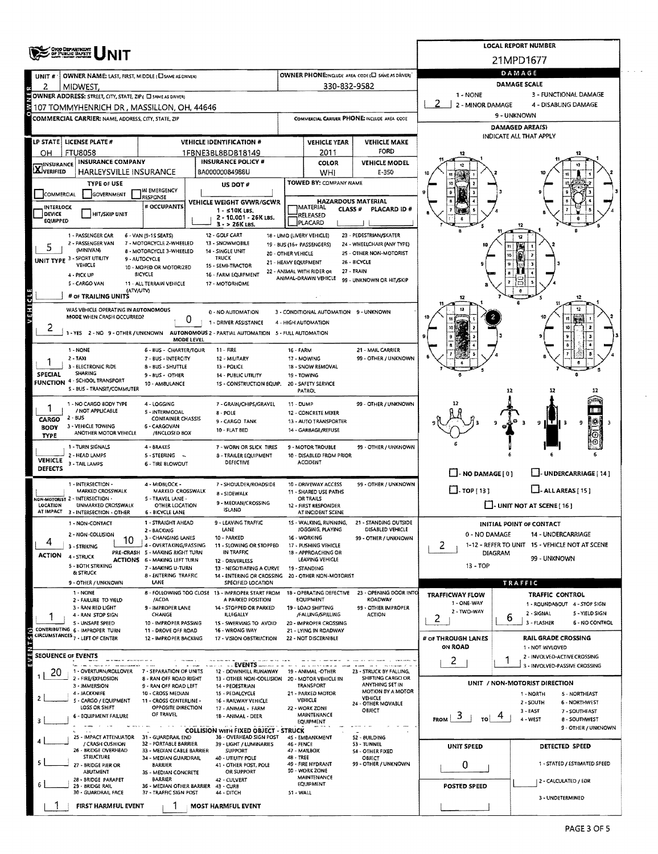|                            | <b>OHO DEPARTMENT</b><br>OF PUBLIC SAFETY                                                         |                                                               |            | <b>LOCAL REPORT NUMBER</b>                                                                                                                                                                                                                                                                                                                                                                                                                                                                                                                                                                                                                                                                                                                                                                                                                                                                                                                                                                                                                                                                                                                                                                                                                                                                                                                                                                                                                                                                                                                                                                                                                                                                                                                                                                                                                                                                                                                                                                                                                                                                                                                                                                                                                                                                                                                                                                                                                                                                                                                                                                                                                                                                                                                                                                                                                                                                                                                                                                                                                                                                                                                                                                                                                                                                                                                                                                                                                                                                                                                                                                                                                                                                                                                                                                                                                                                                                                                                                                                                                                                                                                                                                                                                                                                                                                                                                                                                                                                                                                                                                                                        |  |              |                      |                    |    |                                      |  |  |  |
|----------------------------|---------------------------------------------------------------------------------------------------|---------------------------------------------------------------|------------|-------------------------------------------------------------------------------------------------------------------------------------------------------------------------------------------------------------------------------------------------------------------------------------------------------------------------------------------------------------------------------------------------------------------------------------------------------------------------------------------------------------------------------------------------------------------------------------------------------------------------------------------------------------------------------------------------------------------------------------------------------------------------------------------------------------------------------------------------------------------------------------------------------------------------------------------------------------------------------------------------------------------------------------------------------------------------------------------------------------------------------------------------------------------------------------------------------------------------------------------------------------------------------------------------------------------------------------------------------------------------------------------------------------------------------------------------------------------------------------------------------------------------------------------------------------------------------------------------------------------------------------------------------------------------------------------------------------------------------------------------------------------------------------------------------------------------------------------------------------------------------------------------------------------------------------------------------------------------------------------------------------------------------------------------------------------------------------------------------------------------------------------------------------------------------------------------------------------------------------------------------------------------------------------------------------------------------------------------------------------------------------------------------------------------------------------------------------------------------------------------------------------------------------------------------------------------------------------------------------------------------------------------------------------------------------------------------------------------------------------------------------------------------------------------------------------------------------------------------------------------------------------------------------------------------------------------------------------------------------------------------------------------------------------------------------------------------------------------------------------------------------------------------------------------------------------------------------------------------------------------------------------------------------------------------------------------------------------------------------------------------------------------------------------------------------------------------------------------------------------------------------------------------------------------------------------------------------------------------------------------------------------------------------------------------------------------------------------------------------------------------------------------------------------------------------------------------------------------------------------------------------------------------------------------------------------------------------------------------------------------------------------------------------------------------------------------------------------------------------------------------------------------------------------------------------------------------------------------------------------------------------------------------------------------------------------------------------------------------------------------------------------------------------------------------------------------------------------------------------------------------------------------------------------------------------------------------------------------------------------|--|--------------|----------------------|--------------------|----|--------------------------------------|--|--|--|
|                            |                                                                                                   |                                                               |            |                                                                                                                                                                                                                                                                                                                                                                                                                                                                                                                                                                                                                                                                                                                                                                                                                                                                                                                                                                                                                                                                                                                                                                                                                                                                                                                                                                                                                                                                                                                                                                                                                                                                                                                                                                                                                                                                                                                                                                                                                                                                                                                                                                                                                                                                                                                                                                                                                                                                                                                                                                                                                                                                                                                                                                                                                                                                                                                                                                                                                                                                                                                                                                                                                                                                                                                                                                                                                                                                                                                                                                                                                                                                                                                                                                                                                                                                                                                                                                                                                                                                                                                                                                                                                                                                                                                                                                                                                                                                                                                                                                                                                   |  |              | 21MPD1677            |                    |    |                                      |  |  |  |
| UNIT <sub>#</sub>          | <b>OWNER NAME: LAST, FIRST, MIDDLE (LISAME AS DRIVER)</b>                                         |                                                               |            |                                                                                                                                                                                                                                                                                                                                                                                                                                                                                                                                                                                                                                                                                                                                                                                                                                                                                                                                                                                                                                                                                                                                                                                                                                                                                                                                                                                                                                                                                                                                                                                                                                                                                                                                                                                                                                                                                                                                                                                                                                                                                                                                                                                                                                                                                                                                                                                                                                                                                                                                                                                                                                                                                                                                                                                                                                                                                                                                                                                                                                                                                                                                                                                                                                                                                                                                                                                                                                                                                                                                                                                                                                                                                                                                                                                                                                                                                                                                                                                                                                                                                                                                                                                                                                                                                                                                                                                                                                                                                                                                                                                                                   |  |              |                      |                    |    |                                      |  |  |  |
| 2                          | MIDWEST,                                                                                          |                                                               |            |                                                                                                                                                                                                                                                                                                                                                                                                                                                                                                                                                                                                                                                                                                                                                                                                                                                                                                                                                                                                                                                                                                                                                                                                                                                                                                                                                                                                                                                                                                                                                                                                                                                                                                                                                                                                                                                                                                                                                                                                                                                                                                                                                                                                                                                                                                                                                                                                                                                                                                                                                                                                                                                                                                                                                                                                                                                                                                                                                                                                                                                                                                                                                                                                                                                                                                                                                                                                                                                                                                                                                                                                                                                                                                                                                                                                                                                                                                                                                                                                                                                                                                                                                                                                                                                                                                                                                                                                                                                                                                                                                                                                                   |  |              |                      |                    |    |                                      |  |  |  |
|                            | OWNER ADDRESS: STREET, CITY, STATE, ZIP ( C) SAME AS DRIVER)                                      |                                                               |            |                                                                                                                                                                                                                                                                                                                                                                                                                                                                                                                                                                                                                                                                                                                                                                                                                                                                                                                                                                                                                                                                                                                                                                                                                                                                                                                                                                                                                                                                                                                                                                                                                                                                                                                                                                                                                                                                                                                                                                                                                                                                                                                                                                                                                                                                                                                                                                                                                                                                                                                                                                                                                                                                                                                                                                                                                                                                                                                                                                                                                                                                                                                                                                                                                                                                                                                                                                                                                                                                                                                                                                                                                                                                                                                                                                                                                                                                                                                                                                                                                                                                                                                                                                                                                                                                                                                                                                                                                                                                                                                                                                                                                   |  |              |                      |                    |    |                                      |  |  |  |
|                            | 107 TOMMYHENRICH DR , MASSILLON, OH, 44646<br>COMMERCIAL CARRIER: NAME, ADDRESS, CITY, STATE, ZIP |                                                               |            |                                                                                                                                                                                                                                                                                                                                                                                                                                                                                                                                                                                                                                                                                                                                                                                                                                                                                                                                                                                                                                                                                                                                                                                                                                                                                                                                                                                                                                                                                                                                                                                                                                                                                                                                                                                                                                                                                                                                                                                                                                                                                                                                                                                                                                                                                                                                                                                                                                                                                                                                                                                                                                                                                                                                                                                                                                                                                                                                                                                                                                                                                                                                                                                                                                                                                                                                                                                                                                                                                                                                                                                                                                                                                                                                                                                                                                                                                                                                                                                                                                                                                                                                                                                                                                                                                                                                                                                                                                                                                                                                                                                                                   |  |              |                      | 9 - UNKNOWN        |    |                                      |  |  |  |
|                            |                                                                                                   |                                                               |            |                                                                                                                                                                                                                                                                                                                                                                                                                                                                                                                                                                                                                                                                                                                                                                                                                                                                                                                                                                                                                                                                                                                                                                                                                                                                                                                                                                                                                                                                                                                                                                                                                                                                                                                                                                                                                                                                                                                                                                                                                                                                                                                                                                                                                                                                                                                                                                                                                                                                                                                                                                                                                                                                                                                                                                                                                                                                                                                                                                                                                                                                                                                                                                                                                                                                                                                                                                                                                                                                                                                                                                                                                                                                                                                                                                                                                                                                                                                                                                                                                                                                                                                                                                                                                                                                                                                                                                                                                                                                                                                                                                                                                   |  |              |                      |                    |    |                                      |  |  |  |
|                            | LP STATE LICENSE PLATE #                                                                          |                                                               |            |                                                                                                                                                                                                                                                                                                                                                                                                                                                                                                                                                                                                                                                                                                                                                                                                                                                                                                                                                                                                                                                                                                                                                                                                                                                                                                                                                                                                                                                                                                                                                                                                                                                                                                                                                                                                                                                                                                                                                                                                                                                                                                                                                                                                                                                                                                                                                                                                                                                                                                                                                                                                                                                                                                                                                                                                                                                                                                                                                                                                                                                                                                                                                                                                                                                                                                                                                                                                                                                                                                                                                                                                                                                                                                                                                                                                                                                                                                                                                                                                                                                                                                                                                                                                                                                                                                                                                                                                                                                                                                                                                                                                                   |  |              |                      |                    |    |                                      |  |  |  |
| OН                         | <b>FTU8058</b>                                                                                    |                                                               |            |                                                                                                                                                                                                                                                                                                                                                                                                                                                                                                                                                                                                                                                                                                                                                                                                                                                                                                                                                                                                                                                                                                                                                                                                                                                                                                                                                                                                                                                                                                                                                                                                                                                                                                                                                                                                                                                                                                                                                                                                                                                                                                                                                                                                                                                                                                                                                                                                                                                                                                                                                                                                                                                                                                                                                                                                                                                                                                                                                                                                                                                                                                                                                                                                                                                                                                                                                                                                                                                                                                                                                                                                                                                                                                                                                                                                                                                                                                                                                                                                                                                                                                                                                                                                                                                                                                                                                                                                                                                                                                                                                                                                                   |  |              | FORD                 |                    |    |                                      |  |  |  |
| <b>X</b> INSURANCE         | <b>INSURANCE COMPANY</b>                                                                          |                                                               |            |                                                                                                                                                                                                                                                                                                                                                                                                                                                                                                                                                                                                                                                                                                                                                                                                                                                                                                                                                                                                                                                                                                                                                                                                                                                                                                                                                                                                                                                                                                                                                                                                                                                                                                                                                                                                                                                                                                                                                                                                                                                                                                                                                                                                                                                                                                                                                                                                                                                                                                                                                                                                                                                                                                                                                                                                                                                                                                                                                                                                                                                                                                                                                                                                                                                                                                                                                                                                                                                                                                                                                                                                                                                                                                                                                                                                                                                                                                                                                                                                                                                                                                                                                                                                                                                                                                                                                                                                                                                                                                                                                                                                                   |  | <b>COLOR</b> | <b>VEHICLE MODEL</b> |                    |    |                                      |  |  |  |
|                            | <b>HARLEYSVILLE INSURANCE</b>                                                                     |                                                               |            |                                                                                                                                                                                                                                                                                                                                                                                                                                                                                                                                                                                                                                                                                                                                                                                                                                                                                                                                                                                                                                                                                                                                                                                                                                                                                                                                                                                                                                                                                                                                                                                                                                                                                                                                                                                                                                                                                                                                                                                                                                                                                                                                                                                                                                                                                                                                                                                                                                                                                                                                                                                                                                                                                                                                                                                                                                                                                                                                                                                                                                                                                                                                                                                                                                                                                                                                                                                                                                                                                                                                                                                                                                                                                                                                                                                                                                                                                                                                                                                                                                                                                                                                                                                                                                                                                                                                                                                                                                                                                                                                                                                                                   |  | WHI          | $E - 350$            |                    |    |                                      |  |  |  |
|                            | <b>TYPE OF USE</b>                                                                                | IN EMERGENCY                                                  |            | US DOT#                                                                                                                                                                                                                                                                                                                                                                                                                                                                                                                                                                                                                                                                                                                                                                                                                                                                                                                                                                                                                                                                                                                                                                                                                                                                                                                                                                                                                                                                                                                                                                                                                                                                                                                                                                                                                                                                                                                                                                                                                                                                                                                                                                                                                                                                                                                                                                                                                                                                                                                                                                                                                                                                                                                                                                                                                                                                                                                                                                                                                                                                                                                                                                                                                                                                                                                                                                                                                                                                                                                                                                                                                                                                                                                                                                                                                                                                                                                                                                                                                                                                                                                                                                                                                                                                                                                                                                                                                                                                                                                                                                                                           |  |              |                      |                    |    |                                      |  |  |  |
| COMMERCIAL                 | GOVERNMENT                                                                                        | <b>LESPONSE</b><br># OCCUPANTS                                |            |                                                                                                                                                                                                                                                                                                                                                                                                                                                                                                                                                                                                                                                                                                                                                                                                                                                                                                                                                                                                                                                                                                                                                                                                                                                                                                                                                                                                                                                                                                                                                                                                                                                                                                                                                                                                                                                                                                                                                                                                                                                                                                                                                                                                                                                                                                                                                                                                                                                                                                                                                                                                                                                                                                                                                                                                                                                                                                                                                                                                                                                                                                                                                                                                                                                                                                                                                                                                                                                                                                                                                                                                                                                                                                                                                                                                                                                                                                                                                                                                                                                                                                                                                                                                                                                                                                                                                                                                                                                                                                                                                                                                                   |  |              |                      |                    |    |                                      |  |  |  |
| INTERLOCK<br><b>DEVICE</b> | HIT/SKIP UNIT                                                                                     |                                                               |            |                                                                                                                                                                                                                                                                                                                                                                                                                                                                                                                                                                                                                                                                                                                                                                                                                                                                                                                                                                                                                                                                                                                                                                                                                                                                                                                                                                                                                                                                                                                                                                                                                                                                                                                                                                                                                                                                                                                                                                                                                                                                                                                                                                                                                                                                                                                                                                                                                                                                                                                                                                                                                                                                                                                                                                                                                                                                                                                                                                                                                                                                                                                                                                                                                                                                                                                                                                                                                                                                                                                                                                                                                                                                                                                                                                                                                                                                                                                                                                                                                                                                                                                                                                                                                                                                                                                                                                                                                                                                                                                                                                                                                   |  |              |                      |                    |    |                                      |  |  |  |
| EQUIPPED                   |                                                                                                   |                                                               |            |                                                                                                                                                                                                                                                                                                                                                                                                                                                                                                                                                                                                                                                                                                                                                                                                                                                                                                                                                                                                                                                                                                                                                                                                                                                                                                                                                                                                                                                                                                                                                                                                                                                                                                                                                                                                                                                                                                                                                                                                                                                                                                                                                                                                                                                                                                                                                                                                                                                                                                                                                                                                                                                                                                                                                                                                                                                                                                                                                                                                                                                                                                                                                                                                                                                                                                                                                                                                                                                                                                                                                                                                                                                                                                                                                                                                                                                                                                                                                                                                                                                                                                                                                                                                                                                                                                                                                                                                                                                                                                                                                                                                                   |  |              |                      |                    |    |                                      |  |  |  |
|                            | 1 - PASSENGER CAR<br>2 - PASSENGER VAN                                                            | 6 - VAN (9-15 SEATS)<br>7 - MOTORCYCLE 2-WHEELED              |            |                                                                                                                                                                                                                                                                                                                                                                                                                                                                                                                                                                                                                                                                                                                                                                                                                                                                                                                                                                                                                                                                                                                                                                                                                                                                                                                                                                                                                                                                                                                                                                                                                                                                                                                                                                                                                                                                                                                                                                                                                                                                                                                                                                                                                                                                                                                                                                                                                                                                                                                                                                                                                                                                                                                                                                                                                                                                                                                                                                                                                                                                                                                                                                                                                                                                                                                                                                                                                                                                                                                                                                                                                                                                                                                                                                                                                                                                                                                                                                                                                                                                                                                                                                                                                                                                                                                                                                                                                                                                                                                                                                                                                   |  |              |                      |                    |    |                                      |  |  |  |
|                            | (MINIVAN)                                                                                         | 8 - MOTORCYCLE 3 - WHEELED                                    |            |                                                                                                                                                                                                                                                                                                                                                                                                                                                                                                                                                                                                                                                                                                                                                                                                                                                                                                                                                                                                                                                                                                                                                                                                                                                                                                                                                                                                                                                                                                                                                                                                                                                                                                                                                                                                                                                                                                                                                                                                                                                                                                                                                                                                                                                                                                                                                                                                                                                                                                                                                                                                                                                                                                                                                                                                                                                                                                                                                                                                                                                                                                                                                                                                                                                                                                                                                                                                                                                                                                                                                                                                                                                                                                                                                                                                                                                                                                                                                                                                                                                                                                                                                                                                                                                                                                                                                                                                                                                                                                                                                                                                                   |  |              |                      |                    | 10 |                                      |  |  |  |
|                            | UNIT TYPE 3 - SPORT UTILITY<br>VEHICLE                                                            | 9 - AUTOCYCLE<br>10 - MOPED OR MOTORIZED                      |            |                                                                                                                                                                                                                                                                                                                                                                                                                                                                                                                                                                                                                                                                                                                                                                                                                                                                                                                                                                                                                                                                                                                                                                                                                                                                                                                                                                                                                                                                                                                                                                                                                                                                                                                                                                                                                                                                                                                                                                                                                                                                                                                                                                                                                                                                                                                                                                                                                                                                                                                                                                                                                                                                                                                                                                                                                                                                                                                                                                                                                                                                                                                                                                                                                                                                                                                                                                                                                                                                                                                                                                                                                                                                                                                                                                                                                                                                                                                                                                                                                                                                                                                                                                                                                                                                                                                                                                                                                                                                                                                                                                                                                   |  |              |                      |                    |    |                                      |  |  |  |
|                            | 4 - PICK UP                                                                                       | BICYCLE                                                       |            |                                                                                                                                                                                                                                                                                                                                                                                                                                                                                                                                                                                                                                                                                                                                                                                                                                                                                                                                                                                                                                                                                                                                                                                                                                                                                                                                                                                                                                                                                                                                                                                                                                                                                                                                                                                                                                                                                                                                                                                                                                                                                                                                                                                                                                                                                                                                                                                                                                                                                                                                                                                                                                                                                                                                                                                                                                                                                                                                                                                                                                                                                                                                                                                                                                                                                                                                                                                                                                                                                                                                                                                                                                                                                                                                                                                                                                                                                                                                                                                                                                                                                                                                                                                                                                                                                                                                                                                                                                                                                                                                                                                                                   |  |              |                      |                    |    |                                      |  |  |  |
|                            | 5 - CARGO VAN<br>(ATV/UTV)                                                                        | 11 - ALL TERRAIN VEHICLE                                      |            |                                                                                                                                                                                                                                                                                                                                                                                                                                                                                                                                                                                                                                                                                                                                                                                                                                                                                                                                                                                                                                                                                                                                                                                                                                                                                                                                                                                                                                                                                                                                                                                                                                                                                                                                                                                                                                                                                                                                                                                                                                                                                                                                                                                                                                                                                                                                                                                                                                                                                                                                                                                                                                                                                                                                                                                                                                                                                                                                                                                                                                                                                                                                                                                                                                                                                                                                                                                                                                                                                                                                                                                                                                                                                                                                                                                                                                                                                                                                                                                                                                                                                                                                                                                                                                                                                                                                                                                                                                                                                                                                                                                                                   |  |              |                      |                    |    |                                      |  |  |  |
|                            | # OF TRAILING UNITS                                                                               |                                                               |            |                                                                                                                                                                                                                                                                                                                                                                                                                                                                                                                                                                                                                                                                                                                                                                                                                                                                                                                                                                                                                                                                                                                                                                                                                                                                                                                                                                                                                                                                                                                                                                                                                                                                                                                                                                                                                                                                                                                                                                                                                                                                                                                                                                                                                                                                                                                                                                                                                                                                                                                                                                                                                                                                                                                                                                                                                                                                                                                                                                                                                                                                                                                                                                                                                                                                                                                                                                                                                                                                                                                                                                                                                                                                                                                                                                                                                                                                                                                                                                                                                                                                                                                                                                                                                                                                                                                                                                                                                                                                                                                                                                                                                   |  |              |                      |                    |    |                                      |  |  |  |
| VEHICLE                    | WAS VEHICLE OPERATING IN AUTONOMOUS<br>MODE WHEN CRASH OCCURRED?                                  |                                                               | 0          |                                                                                                                                                                                                                                                                                                                                                                                                                                                                                                                                                                                                                                                                                                                                                                                                                                                                                                                                                                                                                                                                                                                                                                                                                                                                                                                                                                                                                                                                                                                                                                                                                                                                                                                                                                                                                                                                                                                                                                                                                                                                                                                                                                                                                                                                                                                                                                                                                                                                                                                                                                                                                                                                                                                                                                                                                                                                                                                                                                                                                                                                                                                                                                                                                                                                                                                                                                                                                                                                                                                                                                                                                                                                                                                                                                                                                                                                                                                                                                                                                                                                                                                                                                                                                                                                                                                                                                                                                                                                                                                                                                                                                   |  |              |                      |                    |    |                                      |  |  |  |
|                            |                                                                                                   |                                                               |            |                                                                                                                                                                                                                                                                                                                                                                                                                                                                                                                                                                                                                                                                                                                                                                                                                                                                                                                                                                                                                                                                                                                                                                                                                                                                                                                                                                                                                                                                                                                                                                                                                                                                                                                                                                                                                                                                                                                                                                                                                                                                                                                                                                                                                                                                                                                                                                                                                                                                                                                                                                                                                                                                                                                                                                                                                                                                                                                                                                                                                                                                                                                                                                                                                                                                                                                                                                                                                                                                                                                                                                                                                                                                                                                                                                                                                                                                                                                                                                                                                                                                                                                                                                                                                                                                                                                                                                                                                                                                                                                                                                                                                   |  |              |                      |                    |    | 10                                   |  |  |  |
|                            |                                                                                                   |                                                               | MODE LEVEL |                                                                                                                                                                                                                                                                                                                                                                                                                                                                                                                                                                                                                                                                                                                                                                                                                                                                                                                                                                                                                                                                                                                                                                                                                                                                                                                                                                                                                                                                                                                                                                                                                                                                                                                                                                                                                                                                                                                                                                                                                                                                                                                                                                                                                                                                                                                                                                                                                                                                                                                                                                                                                                                                                                                                                                                                                                                                                                                                                                                                                                                                                                                                                                                                                                                                                                                                                                                                                                                                                                                                                                                                                                                                                                                                                                                                                                                                                                                                                                                                                                                                                                                                                                                                                                                                                                                                                                                                                                                                                                                                                                                                                   |  |              |                      |                    |    |                                      |  |  |  |
|                            | 1 - NONE                                                                                          | <b>6 - BUS - CHARTER/TOUR</b>                                 |            |                                                                                                                                                                                                                                                                                                                                                                                                                                                                                                                                                                                                                                                                                                                                                                                                                                                                                                                                                                                                                                                                                                                                                                                                                                                                                                                                                                                                                                                                                                                                                                                                                                                                                                                                                                                                                                                                                                                                                                                                                                                                                                                                                                                                                                                                                                                                                                                                                                                                                                                                                                                                                                                                                                                                                                                                                                                                                                                                                                                                                                                                                                                                                                                                                                                                                                                                                                                                                                                                                                                                                                                                                                                                                                                                                                                                                                                                                                                                                                                                                                                                                                                                                                                                                                                                                                                                                                                                                                                                                                                                                                                                                   |  |              | 21 - MAIL CARRIER    |                    |    |                                      |  |  |  |
|                            | 2 - TAXI<br>3 - ELECTRONIC RIDE                                                                   | 7 - BUS - INTERCITY<br>8 - BUS - SHUTTLE                      |            |                                                                                                                                                                                                                                                                                                                                                                                                                                                                                                                                                                                                                                                                                                                                                                                                                                                                                                                                                                                                                                                                                                                                                                                                                                                                                                                                                                                                                                                                                                                                                                                                                                                                                                                                                                                                                                                                                                                                                                                                                                                                                                                                                                                                                                                                                                                                                                                                                                                                                                                                                                                                                                                                                                                                                                                                                                                                                                                                                                                                                                                                                                                                                                                                                                                                                                                                                                                                                                                                                                                                                                                                                                                                                                                                                                                                                                                                                                                                                                                                                                                                                                                                                                                                                                                                                                                                                                                                                                                                                                                                                                                                                   |  |              |                      |                    |    |                                      |  |  |  |
| SPECIAL                    | SHARING<br>FUNCTION 4 - SCHOOL TRANSPORT                                                          | 9 - BUS - OTHER                                               |            |                                                                                                                                                                                                                                                                                                                                                                                                                                                                                                                                                                                                                                                                                                                                                                                                                                                                                                                                                                                                                                                                                                                                                                                                                                                                                                                                                                                                                                                                                                                                                                                                                                                                                                                                                                                                                                                                                                                                                                                                                                                                                                                                                                                                                                                                                                                                                                                                                                                                                                                                                                                                                                                                                                                                                                                                                                                                                                                                                                                                                                                                                                                                                                                                                                                                                                                                                                                                                                                                                                                                                                                                                                                                                                                                                                                                                                                                                                                                                                                                                                                                                                                                                                                                                                                                                                                                                                                                                                                                                                                                                                                                                   |  |              |                      |                    |    |                                      |  |  |  |
|                            | S - BUS - TRANSIT/COMMUTER                                                                        | 10 - AMBULANCE                                                |            |                                                                                                                                                                                                                                                                                                                                                                                                                                                                                                                                                                                                                                                                                                                                                                                                                                                                                                                                                                                                                                                                                                                                                                                                                                                                                                                                                                                                                                                                                                                                                                                                                                                                                                                                                                                                                                                                                                                                                                                                                                                                                                                                                                                                                                                                                                                                                                                                                                                                                                                                                                                                                                                                                                                                                                                                                                                                                                                                                                                                                                                                                                                                                                                                                                                                                                                                                                                                                                                                                                                                                                                                                                                                                                                                                                                                                                                                                                                                                                                                                                                                                                                                                                                                                                                                                                                                                                                                                                                                                                                                                                                                                   |  |              |                      |                    | 12 | 12                                   |  |  |  |
|                            | 1 - NO CARGO 8ODY TYPE                                                                            | 4 - LOGGING                                                   |            |                                                                                                                                                                                                                                                                                                                                                                                                                                                                                                                                                                                                                                                                                                                                                                                                                                                                                                                                                                                                                                                                                                                                                                                                                                                                                                                                                                                                                                                                                                                                                                                                                                                                                                                                                                                                                                                                                                                                                                                                                                                                                                                                                                                                                                                                                                                                                                                                                                                                                                                                                                                                                                                                                                                                                                                                                                                                                                                                                                                                                                                                                                                                                                                                                                                                                                                                                                                                                                                                                                                                                                                                                                                                                                                                                                                                                                                                                                                                                                                                                                                                                                                                                                                                                                                                                                                                                                                                                                                                                                                                                                                                                   |  |              | 99 - OTHER / UNKNOWN |                    |    |                                      |  |  |  |
|                            | / NOT APPLICABLE<br>$2 - BUS$                                                                     | 5 - INTERMODAL<br><b>CONTAINER CHASSIS</b>                    |            |                                                                                                                                                                                                                                                                                                                                                                                                                                                                                                                                                                                                                                                                                                                                                                                                                                                                                                                                                                                                                                                                                                                                                                                                                                                                                                                                                                                                                                                                                                                                                                                                                                                                                                                                                                                                                                                                                                                                                                                                                                                                                                                                                                                                                                                                                                                                                                                                                                                                                                                                                                                                                                                                                                                                                                                                                                                                                                                                                                                                                                                                                                                                                                                                                                                                                                                                                                                                                                                                                                                                                                                                                                                                                                                                                                                                                                                                                                                                                                                                                                                                                                                                                                                                                                                                                                                                                                                                                                                                                                                                                                                                                   |  |              |                      |                    |    |                                      |  |  |  |
| CARGO<br><b>BODY</b>       | 3 - VEHICLE TOWING                                                                                | 6 - CARGOVAN                                                  |            |                                                                                                                                                                                                                                                                                                                                                                                                                                                                                                                                                                                                                                                                                                                                                                                                                                                                                                                                                                                                                                                                                                                                                                                                                                                                                                                                                                                                                                                                                                                                                                                                                                                                                                                                                                                                                                                                                                                                                                                                                                                                                                                                                                                                                                                                                                                                                                                                                                                                                                                                                                                                                                                                                                                                                                                                                                                                                                                                                                                                                                                                                                                                                                                                                                                                                                                                                                                                                                                                                                                                                                                                                                                                                                                                                                                                                                                                                                                                                                                                                                                                                                                                                                                                                                                                                                                                                                                                                                                                                                                                                                                                                   |  |              |                      |                    |    | IT.<br>9                             |  |  |  |
| <b>TYPE</b>                | ANOTHER MOTOR VEHICLE                                                                             | /ENCLOSED BOX                                                 |            |                                                                                                                                                                                                                                                                                                                                                                                                                                                                                                                                                                                                                                                                                                                                                                                                                                                                                                                                                                                                                                                                                                                                                                                                                                                                                                                                                                                                                                                                                                                                                                                                                                                                                                                                                                                                                                                                                                                                                                                                                                                                                                                                                                                                                                                                                                                                                                                                                                                                                                                                                                                                                                                                                                                                                                                                                                                                                                                                                                                                                                                                                                                                                                                                                                                                                                                                                                                                                                                                                                                                                                                                                                                                                                                                                                                                                                                                                                                                                                                                                                                                                                                                                                                                                                                                                                                                                                                                                                                                                                                                                                                                                   |  |              |                      |                    |    |                                      |  |  |  |
|                            | 1 - TURN SIGNALS<br>2 - HEAD LAMPS                                                                | 4 - BRAKES<br>5-STEERING -                                    |            |                                                                                                                                                                                                                                                                                                                                                                                                                                                                                                                                                                                                                                                                                                                                                                                                                                                                                                                                                                                                                                                                                                                                                                                                                                                                                                                                                                                                                                                                                                                                                                                                                                                                                                                                                                                                                                                                                                                                                                                                                                                                                                                                                                                                                                                                                                                                                                                                                                                                                                                                                                                                                                                                                                                                                                                                                                                                                                                                                                                                                                                                                                                                                                                                                                                                                                                                                                                                                                                                                                                                                                                                                                                                                                                                                                                                                                                                                                                                                                                                                                                                                                                                                                                                                                                                                                                                                                                                                                                                                                                                                                                                                   |  |              | 99 - OTHER / UNKNOWN |                    |    |                                      |  |  |  |
| VEHICLE<br>DEFECTS         | 3 - TAIL LAMPS                                                                                    | 6 - TIRE BLOWOUT                                              |            | DEFECTIVE                                                                                                                                                                                                                                                                                                                                                                                                                                                                                                                                                                                                                                                                                                                                                                                                                                                                                                                                                                                                                                                                                                                                                                                                                                                                                                                                                                                                                                                                                                                                                                                                                                                                                                                                                                                                                                                                                                                                                                                                                                                                                                                                                                                                                                                                                                                                                                                                                                                                                                                                                                                                                                                                                                                                                                                                                                                                                                                                                                                                                                                                                                                                                                                                                                                                                                                                                                                                                                                                                                                                                                                                                                                                                                                                                                                                                                                                                                                                                                                                                                                                                                                                                                                                                                                                                                                                                                                                                                                                                                                                                                                                         |  |              |                      |                    |    |                                      |  |  |  |
|                            |                                                                                                   |                                                               |            |                                                                                                                                                                                                                                                                                                                                                                                                                                                                                                                                                                                                                                                                                                                                                                                                                                                                                                                                                                                                                                                                                                                                                                                                                                                                                                                                                                                                                                                                                                                                                                                                                                                                                                                                                                                                                                                                                                                                                                                                                                                                                                                                                                                                                                                                                                                                                                                                                                                                                                                                                                                                                                                                                                                                                                                                                                                                                                                                                                                                                                                                                                                                                                                                                                                                                                                                                                                                                                                                                                                                                                                                                                                                                                                                                                                                                                                                                                                                                                                                                                                                                                                                                                                                                                                                                                                                                                                                                                                                                                                                                                                                                   |  |              |                      |                    |    | L. UNDERCARRIAGE [ 14 ]              |  |  |  |
|                            | 1 - INTERSECTION -<br>MARKED CROSSWALK                                                            | 4 - MIDBLOCK -<br>MARKED CROSSWALK                            |            |                                                                                                                                                                                                                                                                                                                                                                                                                                                                                                                                                                                                                                                                                                                                                                                                                                                                                                                                                                                                                                                                                                                                                                                                                                                                                                                                                                                                                                                                                                                                                                                                                                                                                                                                                                                                                                                                                                                                                                                                                                                                                                                                                                                                                                                                                                                                                                                                                                                                                                                                                                                                                                                                                                                                                                                                                                                                                                                                                                                                                                                                                                                                                                                                                                                                                                                                                                                                                                                                                                                                                                                                                                                                                                                                                                                                                                                                                                                                                                                                                                                                                                                                                                                                                                                                                                                                                                                                                                                                                                                                                                                                                   |  |              |                      | $\Box$ -TOP [13]   |    | $\Box$ - ALL AREAS [15]              |  |  |  |
| LOCATION                   | NON-MOTORIST 2 - INTERSECTION -<br>UNMARKED CROSSWALK                                             | 5 - TRAVEL LANE -<br>OTHER LOCATION                           |            |                                                                                                                                                                                                                                                                                                                                                                                                                                                                                                                                                                                                                                                                                                                                                                                                                                                                                                                                                                                                                                                                                                                                                                                                                                                                                                                                                                                                                                                                                                                                                                                                                                                                                                                                                                                                                                                                                                                                                                                                                                                                                                                                                                                                                                                                                                                                                                                                                                                                                                                                                                                                                                                                                                                                                                                                                                                                                                                                                                                                                                                                                                                                                                                                                                                                                                                                                                                                                                                                                                                                                                                                                                                                                                                                                                                                                                                                                                                                                                                                                                                                                                                                                                                                                                                                                                                                                                                                                                                                                                                                                                                                                   |  |              |                      |                    |    |                                      |  |  |  |
|                            | AT IMPACT 3 - INTERSECTION - OTHER                                                                | <b>6 - BICYCLE LANE</b>                                       |            | <b>ISLAND</b>                                                                                                                                                                                                                                                                                                                                                                                                                                                                                                                                                                                                                                                                                                                                                                                                                                                                                                                                                                                                                                                                                                                                                                                                                                                                                                                                                                                                                                                                                                                                                                                                                                                                                                                                                                                                                                                                                                                                                                                                                                                                                                                                                                                                                                                                                                                                                                                                                                                                                                                                                                                                                                                                                                                                                                                                                                                                                                                                                                                                                                                                                                                                                                                                                                                                                                                                                                                                                                                                                                                                                                                                                                                                                                                                                                                                                                                                                                                                                                                                                                                                                                                                                                                                                                                                                                                                                                                                                                                                                                                                                                                                     |  |              |                      |                    |    |                                      |  |  |  |
|                            | 1 - NON-CONTACT                                                                                   | 1 - STRAIGHT AHEAD<br>2 - BACKING                             |            |                                                                                                                                                                                                                                                                                                                                                                                                                                                                                                                                                                                                                                                                                                                                                                                                                                                                                                                                                                                                                                                                                                                                                                                                                                                                                                                                                                                                                                                                                                                                                                                                                                                                                                                                                                                                                                                                                                                                                                                                                                                                                                                                                                                                                                                                                                                                                                                                                                                                                                                                                                                                                                                                                                                                                                                                                                                                                                                                                                                                                                                                                                                                                                                                                                                                                                                                                                                                                                                                                                                                                                                                                                                                                                                                                                                                                                                                                                                                                                                                                                                                                                                                                                                                                                                                                                                                                                                                                                                                                                                                                                                                                   |  |              |                      |                    |    |                                      |  |  |  |
|                            | 2 - NON-COLLISION<br>10                                                                           | 3 - CHANGING LANES                                            |            |                                                                                                                                                                                                                                                                                                                                                                                                                                                                                                                                                                                                                                                                                                                                                                                                                                                                                                                                                                                                                                                                                                                                                                                                                                                                                                                                                                                                                                                                                                                                                                                                                                                                                                                                                                                                                                                                                                                                                                                                                                                                                                                                                                                                                                                                                                                                                                                                                                                                                                                                                                                                                                                                                                                                                                                                                                                                                                                                                                                                                                                                                                                                                                                                                                                                                                                                                                                                                                                                                                                                                                                                                                                                                                                                                                                                                                                                                                                                                                                                                                                                                                                                                                                                                                                                                                                                                                                                                                                                                                                                                                                                                   |  |              | 99 - OTHER / UNKNOWN |                    |    |                                      |  |  |  |
| ACTION                     | 3 - STRIKING<br>4 - STRUCK                                                                        | 4 - OVERTAKING/PASSING<br>PRE-CRASH 5 - MAKING RIGHT TURN     |            | IN TRAFFIC                                                                                                                                                                                                                                                                                                                                                                                                                                                                                                                                                                                                                                                                                                                                                                                                                                                                                                                                                                                                                                                                                                                                                                                                                                                                                                                                                                                                                                                                                                                                                                                                                                                                                                                                                                                                                                                                                                                                                                                                                                                                                                                                                                                                                                                                                                                                                                                                                                                                                                                                                                                                                                                                                                                                                                                                                                                                                                                                                                                                                                                                                                                                                                                                                                                                                                                                                                                                                                                                                                                                                                                                                                                                                                                                                                                                                                                                                                                                                                                                                                                                                                                                                                                                                                                                                                                                                                                                                                                                                                                                                                                                        |  |              |                      |                    |    |                                      |  |  |  |
|                            | 5 - BOTH STRIKING                                                                                 | ACTIONS 6 - MAKING LEFT TURN<br>7 - MAKING U-TURN             |            |                                                                                                                                                                                                                                                                                                                                                                                                                                                                                                                                                                                                                                                                                                                                                                                                                                                                                                                                                                                                                                                                                                                                                                                                                                                                                                                                                                                                                                                                                                                                                                                                                                                                                                                                                                                                                                                                                                                                                                                                                                                                                                                                                                                                                                                                                                                                                                                                                                                                                                                                                                                                                                                                                                                                                                                                                                                                                                                                                                                                                                                                                                                                                                                                                                                                                                                                                                                                                                                                                                                                                                                                                                                                                                                                                                                                                                                                                                                                                                                                                                                                                                                                                                                                                                                                                                                                                                                                                                                                                                                                                                                                                   |  |              |                      | $13 - TOP$         |    |                                      |  |  |  |
|                            | <b><i>BL STRUCK</i></b>                                                                           | 8 - ENTERING TRAFFIC                                          |            |                                                                                                                                                                                                                                                                                                                                                                                                                                                                                                                                                                                                                                                                                                                                                                                                                                                                                                                                                                                                                                                                                                                                                                                                                                                                                                                                                                                                                                                                                                                                                                                                                                                                                                                                                                                                                                                                                                                                                                                                                                                                                                                                                                                                                                                                                                                                                                                                                                                                                                                                                                                                                                                                                                                                                                                                                                                                                                                                                                                                                                                                                                                                                                                                                                                                                                                                                                                                                                                                                                                                                                                                                                                                                                                                                                                                                                                                                                                                                                                                                                                                                                                                                                                                                                                                                                                                                                                                                                                                                                                                                                                                                   |  |              |                      |                    |    |                                      |  |  |  |
|                            | 9 - OTHER / UNKNOWN<br>1 - NONE                                                                   | LANE                                                          |            |                                                                                                                                                                                                                                                                                                                                                                                                                                                                                                                                                                                                                                                                                                                                                                                                                                                                                                                                                                                                                                                                                                                                                                                                                                                                                                                                                                                                                                                                                                                                                                                                                                                                                                                                                                                                                                                                                                                                                                                                                                                                                                                                                                                                                                                                                                                                                                                                                                                                                                                                                                                                                                                                                                                                                                                                                                                                                                                                                                                                                                                                                                                                                                                                                                                                                                                                                                                                                                                                                                                                                                                                                                                                                                                                                                                                                                                                                                                                                                                                                                                                                                                                                                                                                                                                                                                                                                                                                                                                                                                                                                                                                   |  |              |                      |                    |    |                                      |  |  |  |
|                            | 2 - FAILURE TO YIELD<br>3 - RAN RED LIGHT                                                         | /ACDA<br>9 - IMPROPER LANE                                    |            | A PARKED POSITION                                                                                                                                                                                                                                                                                                                                                                                                                                                                                                                                                                                                                                                                                                                                                                                                                                                                                                                                                                                                                                                                                                                                                                                                                                                                                                                                                                                                                                                                                                                                                                                                                                                                                                                                                                                                                                                                                                                                                                                                                                                                                                                                                                                                                                                                                                                                                                                                                                                                                                                                                                                                                                                                                                                                                                                                                                                                                                                                                                                                                                                                                                                                                                                                                                                                                                                                                                                                                                                                                                                                                                                                                                                                                                                                                                                                                                                                                                                                                                                                                                                                                                                                                                                                                                                                                                                                                                                                                                                                                                                                                                                                 |  |              | <b>ROADWAY</b>       | 1 - ONE-WAY        |    | 1 - ROUNDABOUT 4 - STOP SIGN         |  |  |  |
|                            | 4 - RAN STOP SIGN                                                                                 | CHANGE                                                        |            | ILLEGALLY                                                                                                                                                                                                                                                                                                                                                                                                                                                                                                                                                                                                                                                                                                                                                                                                                                                                                                                                                                                                                                                                                                                                                                                                                                                                                                                                                                                                                                                                                                                                                                                                                                                                                                                                                                                                                                                                                                                                                                                                                                                                                                                                                                                                                                                                                                                                                                                                                                                                                                                                                                                                                                                                                                                                                                                                                                                                                                                                                                                                                                                                                                                                                                                                                                                                                                                                                                                                                                                                                                                                                                                                                                                                                                                                                                                                                                                                                                                                                                                                                                                                                                                                                                                                                                                                                                                                                                                                                                                                                                                                                                                                         |  |              | <b>ACTION</b>        | 2 - TWO-WAY        |    | 2 - SIGNAL<br>5 - YIELD SIGN         |  |  |  |
|                            | S - UNSAFE SPEED<br>CONTRIBUTING 6 - IMPROPER TURN                                                | 10 - IMPROPER PASSING<br>11 - DROVE OFF ROAD                  |            |                                                                                                                                                                                                                                                                                                                                                                                                                                                                                                                                                                                                                                                                                                                                                                                                                                                                                                                                                                                                                                                                                                                                                                                                                                                                                                                                                                                                                                                                                                                                                                                                                                                                                                                                                                                                                                                                                                                                                                                                                                                                                                                                                                                                                                                                                                                                                                                                                                                                                                                                                                                                                                                                                                                                                                                                                                                                                                                                                                                                                                                                                                                                                                                                                                                                                                                                                                                                                                                                                                                                                                                                                                                                                                                                                                                                                                                                                                                                                                                                                                                                                                                                                                                                                                                                                                                                                                                                                                                                                                                                                                                                                   |  |              |                      |                    |    | 3 - FLASHER<br><b>6 - NO CONTROL</b> |  |  |  |
|                            | CIRCUMSTANCES <sub>7</sub> - LEFT OF CENTER                                                       | 12 - IMPROPER BACKING                                         |            |                                                                                                                                                                                                                                                                                                                                                                                                                                                                                                                                                                                                                                                                                                                                                                                                                                                                                                                                                                                                                                                                                                                                                                                                                                                                                                                                                                                                                                                                                                                                                                                                                                                                                                                                                                                                                                                                                                                                                                                                                                                                                                                                                                                                                                                                                                                                                                                                                                                                                                                                                                                                                                                                                                                                                                                                                                                                                                                                                                                                                                                                                                                                                                                                                                                                                                                                                                                                                                                                                                                                                                                                                                                                                                                                                                                                                                                                                                                                                                                                                                                                                                                                                                                                                                                                                                                                                                                                                                                                                                                                                                                                                   |  |              |                      | # of THROUGH LANES |    |                                      |  |  |  |
|                            | <b>SEQUENCE OF EVENTS</b>                                                                         |                                                               |            |                                                                                                                                                                                                                                                                                                                                                                                                                                                                                                                                                                                                                                                                                                                                                                                                                                                                                                                                                                                                                                                                                                                                                                                                                                                                                                                                                                                                                                                                                                                                                                                                                                                                                                                                                                                                                                                                                                                                                                                                                                                                                                                                                                                                                                                                                                                                                                                                                                                                                                                                                                                                                                                                                                                                                                                                                                                                                                                                                                                                                                                                                                                                                                                                                                                                                                                                                                                                                                                                                                                                                                                                                                                                                                                                                                                                                                                                                                                                                                                                                                                                                                                                                                                                                                                                                                                                                                                                                                                                                                                                                                                                                   |  |              |                      |                    |    |                                      |  |  |  |
|                            |                                                                                                   |                                                               |            | DAMAGE<br>OWNER PHONE; INCLUDE AREA CODE (E) SAME AS DANERY<br><b>DAMAGE SCALE</b><br>330-832-9582<br>1 - NONE<br>3 - FUNCTIONAL DAMAGE<br>2 - MINOR DAMAGE<br>4 - DISABLING DAMAGE<br>COMMERCIAL CARRIER PHONE: INCLUDE AREA CODE<br><b>DAMAGED AREA(S)</b><br>INDICATE ALL THAT APPLY<br><b>VEHICLE IDENTIFICATION #</b><br><b>VEHICLE YEAR</b><br><b>VEHICLE MAKE</b><br>2011<br>1FBNE3BL8BDB18149<br><b>INSURANCE POLICY #</b><br>BA00000084988U<br>TOWED BY: COMPANY NAME<br><b>HAZARDOUS MATERIAL</b><br>VEHICLE WEIGHT GVWR/GCWR<br><b>IMATERIAL</b><br>CLASS <sup>#</sup><br>PLACARD ID #<br>$1 - 510K$ LBS.<br>RELEASED<br>2 - 10.001 - 26K 18S.<br>PLACARD<br>$3 - 26K$ LBS.<br>12 - GOLF CART<br>18 - LIMO (LIVERY VEHICLE)<br>23 - PEDESTRIAN/SKATER<br>13 - SNOWMOBILE<br>24 - WHEELCHAIR (ANY TYPE)<br>19 - BUS (16+ PASSENGERS)<br>14 - SINGLE UNIT<br>25 - OTHER NON-MOTORIST<br>20 - OTHER VEHICLE<br><b>TRUCK</b><br>26 - BICYCLE<br>21 - HEAVY EQUIPMENT<br>15 - SEMI-TRACTOR<br>22 - ANIMAL WITH RIDER OR<br>27 - TRAIN<br>16 - FARM EQUIPMENT<br>ANIMAL-DRAWN VEHICLE<br>99 - UNKNOWN OR HIT/SKIP<br>17 - MOTORHOME<br>0 - NO AUTOMATION<br>3 - CONDITIONAL AUTOMATION 9 - UNKNOWN<br>1 - DRIVER ASSISTANCE<br>4 - HIGH AUTOMATION<br>1 - YES 2 - NO 9 - OTHER / UNKNOWN AUTONOMOUS 2 - PARTIAL AUTOMATION 5 - FULL AUTOMATION<br><b>11 - FIRE</b><br><b>16 - FARM</b><br>99 - OTHER / UNKNOWN<br>12 - MILITARY<br>17 - MOWING<br>13 - POLICE<br><b>18 - SNOW REMOVAL</b><br>14 - PUBLIC UTILITY<br>19 - TOWING<br>1S - CONSTRUCTION EQUIP.<br>20 - SAFETY SERVICE<br>PATROL<br>7 - GRAIN/CHIPS/GRAVEL<br>11 - DUMP<br>8 - POLE<br>12 - CONCRETE MIXER<br>9 - CARGO TANK<br>13 - AUTO TRANSPORTER<br>10 - FLAT BED<br>14 - GARBAGE/REFUSE<br>7 - WORN OR SLICK TIRES<br>9 - MOTOR TROUBLE<br>8 - TRAILER EQUIPMENT<br>10 - DISABLED FROM PRIOR<br><b>ACCIDENT</b><br>$\Box$ - NO DAMAGE [ 0 ]<br>7 - SHOULDER/ROADSIDE<br>99 - OTHER / UNKNOWN<br>10 - DRIVEWAY ACCESS<br>11 - SHARED USE PATHS<br>8 - SIDEWALK<br>OR TRAILS<br>9 - MEDIAN/CROSSING<br>$\Box$ - UNIT NOT AT SCENE [ 16 ]<br>12 - FIRST RESPONDER<br>AT INCIDENT SCENE<br>9 - LEAVING TRAFFIC<br>1S - WALKING, RUNNING,<br>21 - STANDING OUTSIDE<br><b>INITIAL POINT OF CONTACT</b><br>LANE<br>JOGGING, PLAYING<br>DISABLED VEHICLE<br>0 - NO DAMAGE<br>14 - UNDERCARRIAGE<br>10 - PARKED<br>16 - WORKING<br>$\mathbf{2}$<br>1-12 - REFER TO UNIT 15 - VEHICLE NOT AT SCENE<br>11 - SLOWING OR STOPPED<br>17 - PUSHING VEHICLE<br>18 - APPROACHING OR<br><b>DIAGRAM</b><br>99 - UNKNOWN<br>LEAVING VEHICLE<br>12 - DRIVERLESS<br>13 - NEGOTIATING A CURVE<br>19 - STANDING<br>14 - ENTERING OR CROSSING 20 - OTHER NON-MOTORIST<br>TRAFFIC<br>SPECIFIED LOCATION<br>8 - FOLLOWING TOO CLOSE 13 - IMPROPER START FROM<br>23 - OPENING DOOR INTO<br>18 - OPERATING DEFECTIVE<br>TRAFFIC CONTROL<br><b>TRAFFICWAY FLOW</b><br><b>EQUIPMENT</b><br>14 - STOPPED OR PARKED<br>19 - LOAD SHIFTING<br>99 - OTHER IMPROPER<br>/FALLING/SPILLING<br>6<br>2<br>20 - IMPROPER CROSSING<br>15 - SWERVING TO AVOID<br>16 - WRONG WAY<br>21 - LYING IN ROADWAY<br>RAIL GRADE CROSSING<br>17 - VISION OBSTRUCTION<br>22 - NOT DISCERNIBLE<br><b>ON ROAD</b><br>1 - NOT INVLOVED<br>2 - INVOLVED-ACTIVE CROSSING<br>$\mathbf{2}$<br><b>LEVENTS</b><br>3 - INVOLVED-PASSIVE CROSSING<br>12 - DOWNHILL RUNAWAY<br>23 - STRUCK BY FALLING,<br>19 - ANIMAL -OTHER<br>SHIFTING CARGO OR<br>13 - OTHER NON-COLLISION<br>20 - MOTOR VEHICLE IN<br>UNIT / NON-MOTORIST DIRECTION<br>ANYTHING SET IN<br>TRANSPORT<br>14 - PEDESTRIAN<br>MOTION BY A MOTOR<br>15 - PEDALCYCLE<br>21 - PARKED MOTOR<br>1 NORTH<br>5 - NORTHEAST<br>VEHICLE<br>VEHICLE<br>16 - RAILWAY VEHICLE<br>2 - SOUTH<br>6 - NORTHWEST<br>24 - OTHER MOVABLE<br>22 - WORK ZONE<br>17 - ANIMAL - FARM<br>OBJECT<br>3 - EAST<br>7 - SOUTHEAST<br>MAINTENANCE<br>18 - ANIMAL - DEER<br>3<br><b>FROM</b><br>TO I<br>4 - WEST<br>8 - SOUTHWEST<br>EQUIPMENT<br>9 - OTHER / UNKNOWN<br><b>COLLISION WITH FIXED OBJECT - STRUCK</b><br>38 - OVERHEAD SIGN POST<br>45 - EMBANKMENT<br>52 - 8UILDING<br>39 - LIGHT / LUMINARIES<br><b>46 - FENCE</b><br>53 - TUNNEL<br>DETECTED SPEED<br>UNIT SPEED<br><b>SUPPORT</b><br>47 - MAILBOX<br>54 - OTHER FIXED<br>48 - TREE<br>40 - UTILITY POLE<br>OBJECT<br>99 - OTHER / UNKNOWN<br>1 - STATED / ESTIMATED SPEED<br>49 - FIRE HYDRANT<br>0<br>41 - OTHER POST, POLE<br>50 - WORK ZONE<br>OR SUPPORT<br>MAINTENANCE<br>42 - CULVERT<br>  2 ~ CALCULATED / EDR<br>EQUIPMENT<br><b>POSTED SPEED</b><br>51 - WALL<br>44 - DITCH<br>3 - UNDETERMINED |  |              |                      |                    |    |                                      |  |  |  |
| 20                         | 1 - OVERTURN/ROLLOVER<br>2 - FIRE/EXPLOSION                                                       | 7 - SEPARATION OF UNITS<br>8 - RAN OFF ROAD RIGHT             |            |                                                                                                                                                                                                                                                                                                                                                                                                                                                                                                                                                                                                                                                                                                                                                                                                                                                                                                                                                                                                                                                                                                                                                                                                                                                                                                                                                                                                                                                                                                                                                                                                                                                                                                                                                                                                                                                                                                                                                                                                                                                                                                                                                                                                                                                                                                                                                                                                                                                                                                                                                                                                                                                                                                                                                                                                                                                                                                                                                                                                                                                                                                                                                                                                                                                                                                                                                                                                                                                                                                                                                                                                                                                                                                                                                                                                                                                                                                                                                                                                                                                                                                                                                                                                                                                                                                                                                                                                                                                                                                                                                                                                                   |  |              |                      |                    |    |                                      |  |  |  |
|                            | 3 - IMMERSION<br>4 - JACKKNIFE                                                                    | 9 - RAN OFF ROAD LEFT<br>10 - CROSS MEDIAN                    |            |                                                                                                                                                                                                                                                                                                                                                                                                                                                                                                                                                                                                                                                                                                                                                                                                                                                                                                                                                                                                                                                                                                                                                                                                                                                                                                                                                                                                                                                                                                                                                                                                                                                                                                                                                                                                                                                                                                                                                                                                                                                                                                                                                                                                                                                                                                                                                                                                                                                                                                                                                                                                                                                                                                                                                                                                                                                                                                                                                                                                                                                                                                                                                                                                                                                                                                                                                                                                                                                                                                                                                                                                                                                                                                                                                                                                                                                                                                                                                                                                                                                                                                                                                                                                                                                                                                                                                                                                                                                                                                                                                                                                                   |  |              |                      |                    |    |                                      |  |  |  |
|                            | 5 - CARGO / EQUIPMENT<br><b>LOSS OR SHIFT</b>                                                     | 11 - CROSS CENTERLINE -<br>OPPOSITE DIRECTION                 |            |                                                                                                                                                                                                                                                                                                                                                                                                                                                                                                                                                                                                                                                                                                                                                                                                                                                                                                                                                                                                                                                                                                                                                                                                                                                                                                                                                                                                                                                                                                                                                                                                                                                                                                                                                                                                                                                                                                                                                                                                                                                                                                                                                                                                                                                                                                                                                                                                                                                                                                                                                                                                                                                                                                                                                                                                                                                                                                                                                                                                                                                                                                                                                                                                                                                                                                                                                                                                                                                                                                                                                                                                                                                                                                                                                                                                                                                                                                                                                                                                                                                                                                                                                                                                                                                                                                                                                                                                                                                                                                                                                                                                                   |  |              |                      |                    |    |                                      |  |  |  |
|                            | 6 - EQUIPMENT FAILURE                                                                             | OF TRAVEL                                                     |            |                                                                                                                                                                                                                                                                                                                                                                                                                                                                                                                                                                                                                                                                                                                                                                                                                                                                                                                                                                                                                                                                                                                                                                                                                                                                                                                                                                                                                                                                                                                                                                                                                                                                                                                                                                                                                                                                                                                                                                                                                                                                                                                                                                                                                                                                                                                                                                                                                                                                                                                                                                                                                                                                                                                                                                                                                                                                                                                                                                                                                                                                                                                                                                                                                                                                                                                                                                                                                                                                                                                                                                                                                                                                                                                                                                                                                                                                                                                                                                                                                                                                                                                                                                                                                                                                                                                                                                                                                                                                                                                                                                                                                   |  |              |                      |                    |    |                                      |  |  |  |
|                            |                                                                                                   |                                                               |            |                                                                                                                                                                                                                                                                                                                                                                                                                                                                                                                                                                                                                                                                                                                                                                                                                                                                                                                                                                                                                                                                                                                                                                                                                                                                                                                                                                                                                                                                                                                                                                                                                                                                                                                                                                                                                                                                                                                                                                                                                                                                                                                                                                                                                                                                                                                                                                                                                                                                                                                                                                                                                                                                                                                                                                                                                                                                                                                                                                                                                                                                                                                                                                                                                                                                                                                                                                                                                                                                                                                                                                                                                                                                                                                                                                                                                                                                                                                                                                                                                                                                                                                                                                                                                                                                                                                                                                                                                                                                                                                                                                                                                   |  |              |                      |                    |    |                                      |  |  |  |
|                            | 25 - IMPACT ATTENUATOR<br>/ CRASH CUSHION                                                         | 31 - GUARDRAIL END<br>32 - PORTABLE BARRIER                   |            |                                                                                                                                                                                                                                                                                                                                                                                                                                                                                                                                                                                                                                                                                                                                                                                                                                                                                                                                                                                                                                                                                                                                                                                                                                                                                                                                                                                                                                                                                                                                                                                                                                                                                                                                                                                                                                                                                                                                                                                                                                                                                                                                                                                                                                                                                                                                                                                                                                                                                                                                                                                                                                                                                                                                                                                                                                                                                                                                                                                                                                                                                                                                                                                                                                                                                                                                                                                                                                                                                                                                                                                                                                                                                                                                                                                                                                                                                                                                                                                                                                                                                                                                                                                                                                                                                                                                                                                                                                                                                                                                                                                                                   |  |              |                      |                    |    |                                      |  |  |  |
|                            | 26 - 8RIDGE OVERHEAD<br><b>STRUCTURE</b>                                                          | 33 - MEDIAN CABLE BARRIER<br>34 - MEDIAN GUARDRAIL            |            |                                                                                                                                                                                                                                                                                                                                                                                                                                                                                                                                                                                                                                                                                                                                                                                                                                                                                                                                                                                                                                                                                                                                                                                                                                                                                                                                                                                                                                                                                                                                                                                                                                                                                                                                                                                                                                                                                                                                                                                                                                                                                                                                                                                                                                                                                                                                                                                                                                                                                                                                                                                                                                                                                                                                                                                                                                                                                                                                                                                                                                                                                                                                                                                                                                                                                                                                                                                                                                                                                                                                                                                                                                                                                                                                                                                                                                                                                                                                                                                                                                                                                                                                                                                                                                                                                                                                                                                                                                                                                                                                                                                                                   |  |              |                      |                    |    |                                      |  |  |  |
|                            | 27 - BRIDGE PIER OR                                                                               | <b>BARRIER</b>                                                |            |                                                                                                                                                                                                                                                                                                                                                                                                                                                                                                                                                                                                                                                                                                                                                                                                                                                                                                                                                                                                                                                                                                                                                                                                                                                                                                                                                                                                                                                                                                                                                                                                                                                                                                                                                                                                                                                                                                                                                                                                                                                                                                                                                                                                                                                                                                                                                                                                                                                                                                                                                                                                                                                                                                                                                                                                                                                                                                                                                                                                                                                                                                                                                                                                                                                                                                                                                                                                                                                                                                                                                                                                                                                                                                                                                                                                                                                                                                                                                                                                                                                                                                                                                                                                                                                                                                                                                                                                                                                                                                                                                                                                                   |  |              |                      |                    |    |                                      |  |  |  |
|                            | ABUTMENT<br>28 - BRIDGE PARAPET                                                                   | 35 - MEDIAN CONCRETE<br><b>BARRIER</b>                        |            |                                                                                                                                                                                                                                                                                                                                                                                                                                                                                                                                                                                                                                                                                                                                                                                                                                                                                                                                                                                                                                                                                                                                                                                                                                                                                                                                                                                                                                                                                                                                                                                                                                                                                                                                                                                                                                                                                                                                                                                                                                                                                                                                                                                                                                                                                                                                                                                                                                                                                                                                                                                                                                                                                                                                                                                                                                                                                                                                                                                                                                                                                                                                                                                                                                                                                                                                                                                                                                                                                                                                                                                                                                                                                                                                                                                                                                                                                                                                                                                                                                                                                                                                                                                                                                                                                                                                                                                                                                                                                                                                                                                                                   |  |              |                      |                    |    |                                      |  |  |  |
|                            | 29 - BRIDGE RAIL<br>30 - GUARDRAIL FACE                                                           | 36 - MEDIAN OTHER BARRIER 43 - CURB<br>37 - TRAFFIC SIGN POST |            |                                                                                                                                                                                                                                                                                                                                                                                                                                                                                                                                                                                                                                                                                                                                                                                                                                                                                                                                                                                                                                                                                                                                                                                                                                                                                                                                                                                                                                                                                                                                                                                                                                                                                                                                                                                                                                                                                                                                                                                                                                                                                                                                                                                                                                                                                                                                                                                                                                                                                                                                                                                                                                                                                                                                                                                                                                                                                                                                                                                                                                                                                                                                                                                                                                                                                                                                                                                                                                                                                                                                                                                                                                                                                                                                                                                                                                                                                                                                                                                                                                                                                                                                                                                                                                                                                                                                                                                                                                                                                                                                                                                                                   |  |              |                      |                    |    |                                      |  |  |  |
|                            | FIRST HARMFUL EVENT                                                                               |                                                               |            | <b>MOST HARMFUL EVENT</b>                                                                                                                                                                                                                                                                                                                                                                                                                                                                                                                                                                                                                                                                                                                                                                                                                                                                                                                                                                                                                                                                                                                                                                                                                                                                                                                                                                                                                                                                                                                                                                                                                                                                                                                                                                                                                                                                                                                                                                                                                                                                                                                                                                                                                                                                                                                                                                                                                                                                                                                                                                                                                                                                                                                                                                                                                                                                                                                                                                                                                                                                                                                                                                                                                                                                                                                                                                                                                                                                                                                                                                                                                                                                                                                                                                                                                                                                                                                                                                                                                                                                                                                                                                                                                                                                                                                                                                                                                                                                                                                                                                                         |  |              |                      |                    |    |                                      |  |  |  |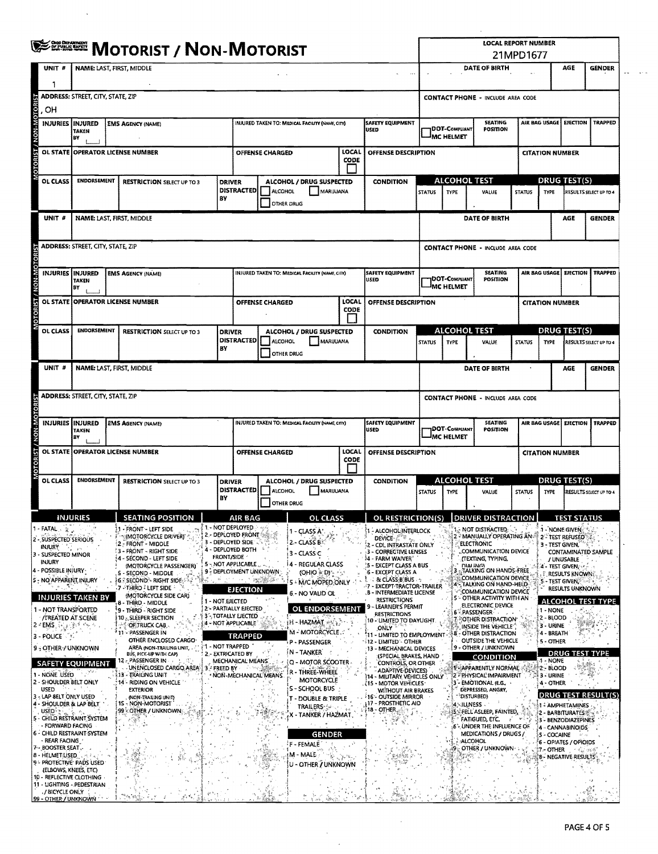|                                                     | <b>WE SHERE MOTORIST / NON-MOTORIST</b>  |                                                                             |                                                         |                                                     |                                 |                                                                                    |               |                                                            | LOCAL REPORT NUMBER                                |                        |                                                      |               |                                      |                           |                            |
|-----------------------------------------------------|------------------------------------------|-----------------------------------------------------------------------------|---------------------------------------------------------|-----------------------------------------------------|---------------------------------|------------------------------------------------------------------------------------|---------------|------------------------------------------------------------|----------------------------------------------------|------------------------|------------------------------------------------------|---------------|--------------------------------------|---------------------------|----------------------------|
| UNIT#                                               | <b>NAME: LAST, FIRST, MIDDLE</b>         |                                                                             |                                                         |                                                     |                                 |                                                                                    |               |                                                            | 21MPD1677<br>DATE OF BIRTH<br>AGE<br><b>GENDER</b> |                        |                                                      |               |                                      |                           |                            |
|                                                     |                                          |                                                                             |                                                         |                                                     |                                 |                                                                                    |               |                                                            |                                                    | $\cdots$               |                                                      |               |                                      |                           |                            |
|                                                     | ADDRESS: STREET, CITY, STATE, ZIP        |                                                                             |                                                         |                                                     |                                 |                                                                                    |               |                                                            |                                                    |                        | <b>CONTACT PHONE - INCLUDE AREA CODE</b>             |               |                                      |                           |                            |
| OН                                                  |                                          |                                                                             |                                                         |                                                     |                                 |                                                                                    |               |                                                            |                                                    |                        |                                                      |               |                                      |                           |                            |
| <b>INJURIES INJURED</b>                             | TAKEN                                    | <b>EMS AGENCY (NAME)</b>                                                    |                                                         |                                                     |                                 | <b>SAFETY EQUIPMENT</b><br>INJURED TAKEN TO: MEDICAL FACILITY (NAME, CITY)<br>USED |               |                                                            |                                                    | <b>DOT-COMPLIANT</b>   | <b>SEATING</b><br><b>POSITION</b>                    |               | AIR BAG USAGE   EJECTION             |                           | <b>TRAPPED</b>             |
|                                                     | BY                                       |                                                                             |                                                         |                                                     |                                 |                                                                                    |               |                                                            | MC HELMET                                          |                        |                                                      |               |                                      |                           |                            |
|                                                     |                                          | OL STATE OPERATOR LICENSE NUMBER                                            | LOCAL<br>OFFENSE DESCRIPTION<br>OFFENSE CHARGED<br>CODE |                                                     |                                 |                                                                                    |               |                                                            |                                                    | <b>CITATION NUMBER</b> |                                                      |               |                                      |                           |                            |
|                                                     |                                          |                                                                             |                                                         |                                                     |                                 |                                                                                    |               |                                                            |                                                    |                        |                                                      |               |                                      |                           |                            |
| OL CLASS                                            | <b>ENDORSEMENT</b>                       | <b>RESTRICTION SELECT UP TO 3</b>                                           |                                                         | <b>DRIVER</b><br><b>DISTRACTED</b>                  | <b>ALCOHOL</b>                  | ALCOHOL / DRUG SUSPECTED<br>MARUUANA                                               |               | <b>CONDITION</b>                                           | <b>STATUS</b>                                      | TYPE                   | ALCOHOL TEST<br>VALUE                                | <b>STATUS</b> | DRUG TEST(S)<br><b>TYPE</b>          |                           | RESULTS SELECT UP TO 4     |
|                                                     |                                          |                                                                             | BY                                                      |                                                     | <b>OTHER DRUG</b>               |                                                                                    |               |                                                            |                                                    |                        |                                                      |               |                                      |                           |                            |
| UNIT #                                              |                                          | NAME: LAST, FIRST, MIDDLE                                                   |                                                         |                                                     |                                 |                                                                                    |               |                                                            |                                                    |                        | DATE OF BIRTH                                        |               |                                      | AGE                       | <b>GENDER</b>              |
|                                                     |                                          |                                                                             |                                                         |                                                     |                                 |                                                                                    |               |                                                            |                                                    |                        |                                                      |               |                                      |                           |                            |
|                                                     | <b>ADDRESS: STREET, CITY, STATE, ZIP</b> |                                                                             |                                                         |                                                     |                                 |                                                                                    |               |                                                            |                                                    |                        | <b>CONTACT PHONE - INCLUDE AREA CODE</b>             |               |                                      |                           |                            |
|                                                     |                                          |                                                                             |                                                         |                                                     |                                 |                                                                                    |               |                                                            |                                                    |                        |                                                      |               |                                      |                           |                            |
|                                                     | INJURIES INJURED<br>TAKEN                | <b>EMS AGENCY (NAME)</b>                                                    |                                                         |                                                     |                                 | INJURED TAKEN TO: MEDICAL FACILITY (NAME, CITY)                                    |               | <b>SAFETY EQUIPMENT</b><br>USED                            |                                                    | DOT-Compliant          | <b>SEATING</b><br>POSITION                           |               | AIR BAG USAGE EJECTION               |                           | <b>TRAPPED</b>             |
|                                                     | BY                                       |                                                                             |                                                         |                                                     |                                 |                                                                                    |               |                                                            |                                                    | <b>MC HELMET</b>       |                                                      |               |                                      |                           |                            |
|                                                     |                                          | OL STATE OPERATOR LICENSE NUMBER                                            |                                                         |                                                     | <b>OFFENSE CHARGED</b>          |                                                                                    | LOCAL<br>CODE | OFFENSE DESCRIPTION                                        |                                                    |                        |                                                      |               | <b>CITATION NUMBER</b>               |                           |                            |
|                                                     |                                          |                                                                             |                                                         |                                                     |                                 |                                                                                    |               |                                                            |                                                    |                        |                                                      |               |                                      |                           |                            |
| OL CLASS                                            | <b>ENDORSEMENT</b>                       | <b>RESTRICTION SELECT UP TO 3</b>                                           |                                                         | <b>DRIVER</b>                                       |                                 | ALCOHOL / DRUG SUSPECTED                                                           |               | <b>CONDITION</b>                                           |                                                    |                        | ALCOHOL TEST                                         |               | <b>DRUG TEST(S)</b>                  |                           |                            |
|                                                     |                                          |                                                                             | BY                                                      | <b>DISTRACTED</b>                                   | ALCOHOL<br>OTHER DRUG           | MARUUANA                                                                           |               |                                                            | <b>STATUS</b>                                      | TYPE                   | VALUE                                                | <b>STATUS</b> | <b>TYPE</b>                          |                           | RESULTS SELECT UP TO 4     |
| UNIT #                                              |                                          | NAME: LAST, FIRST, MIDDLE                                                   |                                                         |                                                     |                                 |                                                                                    |               |                                                            |                                                    |                        | DATE OF BIRTH                                        | $\bullet$     |                                      | AGE                       | <b>GENDER</b>              |
|                                                     |                                          |                                                                             |                                                         |                                                     |                                 |                                                                                    |               |                                                            |                                                    |                        |                                                      |               |                                      |                           |                            |
|                                                     | <b>ADDRESS: STREET, CITY, STATE, ZIP</b> |                                                                             |                                                         |                                                     |                                 |                                                                                    |               |                                                            |                                                    |                        | <b>CONTACT PHONE - INCLUDE AREA CODE</b>             |               |                                      |                           |                            |
|                                                     |                                          |                                                                             |                                                         |                                                     |                                 |                                                                                    |               |                                                            |                                                    |                        |                                                      |               |                                      |                           |                            |
|                                                     | INJURIES INJURED                         | <b>EMS AGENCY (NAME)</b>                                                    |                                                         |                                                     |                                 | INJURED TAKEN TO: MEDICAL FACILITY (NAME, CITY)                                    |               | <b>SAFETY EQUIPMENT</b>                                    |                                                    |                        | SEATING                                              |               | AIR BAG USAGE   EJECTION             |                           | <b>TRAPPED</b>             |
| <b>TAKEN</b><br>BY                                  |                                          |                                                                             |                                                         |                                                     | luseo                           |                                                                                    |               | DOT-Compuant<br><b>POSITION</b><br>IMC HELMET              |                                                    |                        |                                                      |               |                                      |                           |                            |
|                                                     |                                          | OL STATE OPERATOR LICENSE NUMBER                                            |                                                         |                                                     | <b>LOCAL</b><br>OFFENSE CHARGED |                                                                                    |               | OFFENSE DESCRIPTION                                        | <b>CITATION NUMBER</b>                             |                        |                                                      |               |                                      |                           |                            |
|                                                     |                                          |                                                                             |                                                         |                                                     |                                 |                                                                                    | CODE          |                                                            |                                                    |                        |                                                      |               |                                      |                           |                            |
| OL CLASS                                            | <b>ENDORSEMENT</b>                       | <b>RESTRICTION SELECT UP TO 3</b>                                           |                                                         | <b>DRIVER</b>                                       |                                 | ALCOHOL / DRUG SUSPECTED                                                           |               | <b>CONDITION</b>                                           |                                                    |                        | <b>ALCOHOL TEST</b>                                  |               | DRUG TEST(S)                         |                           |                            |
|                                                     |                                          |                                                                             | BY                                                      | <b>DISTRACTED</b>                                   | <b>ALCOHOL</b>                  | MARUUANA                                                                           |               |                                                            | <b>STATUS</b>                                      | TYPE                   | VALUE                                                | <b>STATUS</b> | <b>TYPE</b>                          |                           | RESULTS SELECT UP TO 4     |
|                                                     | <b>INJURIES</b>                          | <b>SEATING POSITION</b>                                                     |                                                         | AIR BAG                                             | <b>OTHER DRUG</b>               | OL CLASS                                                                           |               | OL RESTRICTIONIS) DRIVER DISTRACTION                       |                                                    |                        |                                                      |               |                                      | <b>TEST STATUS</b>        |                            |
| 1 - FATAL . * *                                     |                                          | 1 - FRONT - LEFT SIDE                                                       |                                                         | 1. NOT DEPLOYED                                     |                                 | 1 - CLASS A'                                                                       |               | - ALCOHOL INTERLOCK                                        |                                                    |                        | NOT DISTRACTED.                                      |               |                                      | 1 - NONE GIVEN            |                            |
| 2 - SUSPECTED SERIOUS<br><b>INJURY</b>              |                                          | (MOTORCYCLE DRIVER)<br>2 - FRONT - MIDDLE                                   |                                                         | <b>2. DEPLOYED FRONT SAFER</b><br>3 - DEPLOYED SIDE |                                 | 2 - CLASS B                                                                        |               | <b>DEVICE- ATT</b><br>- CDL INTRASTÁTE ONLY                |                                                    |                        | <b>MANUALLY OPERATING AND</b><br><b>ELECTRONIC</b>   |               | 3 - TEST GIVEN,                      | 2-TEST REFUSED            |                            |
| 3 - SUSPECTED MINOR                                 |                                          | : 3 - FRONT - RIGHT SIDE<br><b>4 - SECOND - LEFT SIDE</b>                   |                                                         | 4 - DEPLOYED BOTH<br><b>FRONT/SIDE</b>              |                                 | 3 - CLASS C                                                                        |               | - CORRECTIVE LENSES<br>34 - FARM WAIVER'                   |                                                    |                        | COMMUNICATION DEVICE<br>(TEXTING, TYPING,            |               |                                      | / UNUSABLE                | <b>CONTAMINATED SAMPLE</b> |
| INJURY<br>4 - POSSIBLE INJURY -                     |                                          | (MOTORCYCLE PASSENGER)<br>5 - SECOND - MIDDLE                               |                                                         | 5 - NOT APPLICABLE<br>9 - DEPLOYMENT UNKNOWN        |                                 | 14 - REGULAR CLASS<br>$(OHIO \cong D)$ , $r_{11}$                                  |               | 5 - EXCEPT CLASS A BUS<br>6 - EXCEPT CLASS A               |                                                    |                        | DIALING)<br>TALKING ON HANDS-FREE                    |               | 4 - TEST GIVEN,                      | <b>F, RESULTS KNOWN</b> C |                            |
| S - NO APPARENT INJURY                              |                                          | <b>6 SECOND</b> RIGHT SIDE<br>.7 - THIRD " LEFT SIDE                        |                                                         | in communication                                    |                                 | 5 - M/C MOPED ONLY                                                                 |               | <b>ALCLASS BIBUS</b><br>7 - EXCEPT TRACTOR-TRAILER         |                                                    |                        | COMMUNICATION DEVICE<br>4 TALKING ON HAND-HELD       |               | 5 - TEST GIVEN.                      | RESULTS UNKNOWN           |                            |
|                                                     | <b>INJURIES TAKEN BY</b>                 | (MOTORCYCLE SIDE CAR)<br>8 - THIRD - MIDDLE                                 | 1 - NOT EJECTED                                         | <b>EJECTION</b>                                     |                                 | 6 - NO VALID OL                                                                    |               | <b>B - INTERMEDIATE LICENSE</b><br><b>RESTRICTIONS</b>     |                                                    |                        | COMMUNICATION DEVICE<br>5 - OTHER ACTIVITY WITH AN   |               |                                      |                           | <b>ALCOHOL TEST TYPE</b>   |
| 1 - NOT TRANSPORTED                                 |                                          | 9 - THIRD - RIGHT SIDE                                                      |                                                         | <b>2 - PARTIALLY EJECTED</b><br>35, TOTALLY EJECTED |                                 | <b>OL ENDORSEMENT</b>                                                              |               | 9 - LEARNER'S PERMIT<br><b>RESTRICTIONS</b>                |                                                    |                        | ELECTRONIC DEVICE<br><b>6 PASSENGER</b>              |               | 1 - NONE                             |                           |                            |
| <b>/TREATED AT SCENE</b><br> 2 FEMS    1/2   319 PM |                                          | 10 : SLEEPER SECTION<br>OF TRUCK CAB.                                       |                                                         | 4 - NOT APPLICABLE                                  |                                 | H-HAZMAT                                                                           |               | 10 - LIMITED TO DAYLIGHT<br>ONLY                           |                                                    |                        | <b>AOTHER DISTRACTION</b><br>INSIDE THE VEHICLE'.    |               | 2 - BLOOD<br>3 - URINE               |                           |                            |
| $3 - \text{POLICE}$                                 |                                          | 11 - PASSENGER IN<br>OTHER ENCLOSED CARGO                                   |                                                         | <b>TRAPPED</b>                                      |                                 | M - MOTORCYCLE<br><b>P - PASSENGER</b>                                             |               | 11 - LIMITED TO EMPLOYMENT<br><b>12 - LIMITED - OTHER</b>  |                                                    |                        | <b>88 - OTHER DISTRACTION</b><br>OUTSIDE THE VEHICLE |               | 4 - BREATH<br>5 - OTHER              |                           |                            |
| 9 - OTHER / UNKNOWN                                 |                                          | AREA (NON-TRAILING UNIT,<br>BUS, PICK-UP WITH CAP)                          | 1 - NOT TRAPPED                                         | 2.- EXTRICATED BY                                   |                                 | N - TANKER                                                                         |               | 13 - MECHANICAL DEVICES<br>(SPECIAL BRAKES, HAND           |                                                    |                        | 9 - OTHER / UNKNOWN<br>CONDITION                     |               |                                      | <b>DRUG TEST TYPE</b>     |                            |
|                                                     | <b>SAFETY EQUIPMENT</b>                  | $\varepsilon$ , passenger in $\ldots$<br>UNENCLOSED CARGO AREA 3 - FREED BY |                                                         | MECHANICAL MEANS                                    |                                 | Q - MOTOR SCOOTER                                                                  |               | CONTROLS, OR OTHER<br><b>ADAPTIVE DEVICES)</b>             |                                                    |                        | 1 - APPARENTLY NORMAL                                |               | - NONE<br>2 - BLOOD                  |                           |                            |
| 1 - NONE USED<br>2 - SHOULDER BELT ONLY             |                                          | 13 - TRAILING UNIT<br>14 - RIDING ON VEHICLE                                |                                                         | NON-MECHANICAL MEANS                                |                                 | r - Three-Wheel<br><b>MOTORCYCLE</b>                                               |               | 14 - MILITARY VEHICLES ONLY<br><b>LIS - MOTOR VEHICLES</b> |                                                    |                        | 2 PHYSICAL IMPAIRMENT<br>3 - EMOTIONAL (E.G.         |               | 3 - URINE<br>4 - OTHER               |                           |                            |
| <b>USED</b><br>3 - LAP 8ELT ONLY USED               |                                          | <b>EXTERIOR</b><br>(NON-TRAILING UNIT)                                      |                                                         |                                                     |                                 | S - SCHOOL BUS<br>T - DOUBLE & TRIPLE                                              |               | <b>WITHOUT AIR BRAKES</b><br>16 - OUTSIDE MIRROR           |                                                    |                        | DEPRESSED, ANGRY<br><sup>1</sup> DISTURBED)          |               |                                      |                           | <b>DRUG TEST RESULT(S</b>  |
| <b>USED</b> <sup>5</sup>                            | 4 - SHOULDER & LAP BELT                  | 15 - NON-MOTORIST<br>99 - OTHER / UNKNOWN                                   |                                                         |                                                     |                                 | <b>TRAILERS</b>                                                                    |               | <b>17 - PROSTHETIC AID</b><br>18 - OTHER                   |                                                    |                        | $4$ . Illness                                        |               |                                      | 1 - AMPHETAMINES          |                            |
| - FORWARD FACING                                    | 5 - CHILD RESTRAINT SYSTEM               |                                                                             |                                                         |                                                     |                                 | - TANKER / HAZMAT.                                                                 |               |                                                            |                                                    |                        | <b>FATIGUED, ETC.</b>                                |               | 2 - BARBITURATES **                  | 3 - BENZODIAZEPINES       |                            |
|                                                     | 6 - CHILD RESTRAINT-SYSTEM               |                                                                             |                                                         |                                                     |                                 | <b>GENDER</b>                                                                      |               |                                                            |                                                    |                        | UNDER THE INFLUENCE OF<br>MEDICATIONS / DRUGS /      |               | 5 - COCAINE                          | 4 - CANNABINOIDS -        |                            |
| - REAR FACING<br>7 - BOOSTER SEAT.                  |                                          |                                                                             |                                                         |                                                     |                                 | F - FEMALE                                                                         |               |                                                            |                                                    | 79                     | ALCOHOL<br>- OTHER / UNKNOWN + 1                     |               | 6 - OPIATES / OPIOIDS<br>\$7 - OTHER |                           | ( 统计概要                     |
| 8 - HELMET USED                                     | 9 - PROTECTIVE <sup>,</sup> PADS USED    | ł.                                                                          |                                                         |                                                     |                                 | M - MALE<br>U - OTHER / UNKNOWN                                                    |               | 实物理                                                        |                                                    |                        |                                                      |               |                                      | 8 - NEGATIVE RESULTS      |                            |
| (ELBOWS, KNEES, ETC)                                | 10 - REFLECTIVE CLOTHING                 |                                                                             |                                                         |                                                     |                                 |                                                                                    |               |                                                            |                                                    |                        |                                                      |               |                                      |                           |                            |
| . / BICYCLE ONLY                                    | 11 - LIGHTING - PEDESTRIAN               |                                                                             |                                                         |                                                     |                                 |                                                                                    |               |                                                            |                                                    |                        |                                                      |               |                                      |                           |                            |
| 99 - OTHER / UNKNOWN                                |                                          |                                                                             |                                                         |                                                     |                                 |                                                                                    |               |                                                            |                                                    |                        |                                                      |               |                                      |                           |                            |

 $\sim$ 

 $\hat{\mathcal{L}}$  $\hat{\mathcal{L}}$ 

 $\sim$